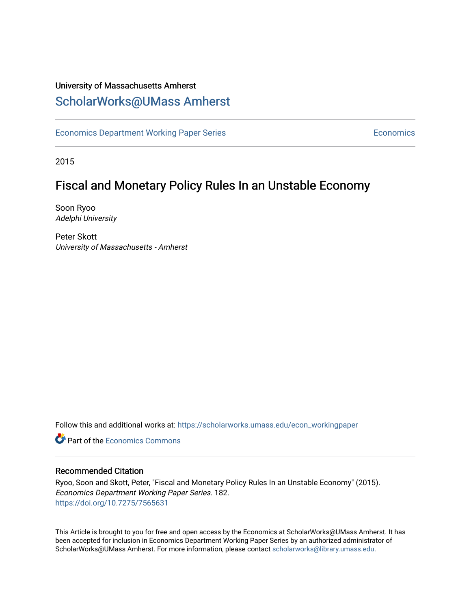## University of Massachusetts Amherst [ScholarWorks@UMass Amherst](https://scholarworks.umass.edu/)

[Economics Department Working Paper Series](https://scholarworks.umass.edu/econ_workingpaper) **Economics** Economics

2015

## Fiscal and Monetary Policy Rules In an Unstable Economy

Soon Ryoo Adelphi University

Peter Skott University of Massachusetts - Amherst

Follow this and additional works at: [https://scholarworks.umass.edu/econ\\_workingpaper](https://scholarworks.umass.edu/econ_workingpaper?utm_source=scholarworks.umass.edu%2Fecon_workingpaper%2F182&utm_medium=PDF&utm_campaign=PDFCoverPages) 

**C** Part of the [Economics Commons](http://network.bepress.com/hgg/discipline/340?utm_source=scholarworks.umass.edu%2Fecon_workingpaper%2F182&utm_medium=PDF&utm_campaign=PDFCoverPages)

#### Recommended Citation

Ryoo, Soon and Skott, Peter, "Fiscal and Monetary Policy Rules In an Unstable Economy" (2015). Economics Department Working Paper Series. 182. <https://doi.org/10.7275/7565631>

This Article is brought to you for free and open access by the Economics at ScholarWorks@UMass Amherst. It has been accepted for inclusion in Economics Department Working Paper Series by an authorized administrator of ScholarWorks@UMass Amherst. For more information, please contact [scholarworks@library.umass.edu.](mailto:scholarworks@library.umass.edu)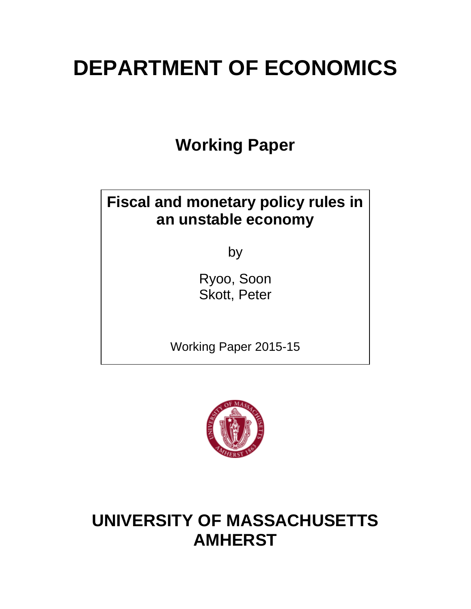# **DEPARTMENT OF ECONOMICS**

**Working Paper**

## **Fiscal and monetary policy rules in an unstable economy**

by

Ryoo, Soon Skott, Peter

Working Paper 2015-15



## **UNIVERSITY OF MASSACHUSETTS AMHERST**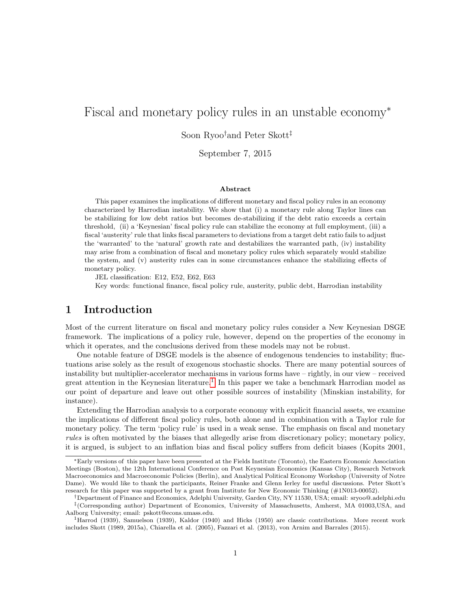## Fiscal and monetary policy rules in an unstable economy<sup>\*</sup>

### Soon Ryoo†and Peter Skott‡

September 7, 2015

#### Abstract

This paper examines the implications of different monetary and fiscal policy rules in an economy characterized by Harrodian instability. We show that (i) a monetary rule along Taylor lines can be stabilizing for low debt ratios but becomes de-stabilizing if the debt ratio exceeds a certain threshold, (ii) a 'Keynesian' fiscal policy rule can stabilize the economy at full employment, (iii) a fiscal 'austerity' rule that links fiscal parameters to deviations from a target debt ratio fails to adjust the 'warranted' to the 'natural' growth rate and destabilizes the warranted path, (iv) instability may arise from a combination of fiscal and monetary policy rules which separately would stabilize the system, and (v) austerity rules can in some circumstances enhance the stabilizing effects of monetary policy.

JEL classification: E12, E52, E62, E63

Key words: functional finance, fiscal policy rule, austerity, public debt, Harrodian instability

## 1 Introduction

Most of the current literature on fiscal and monetary policy rules consider a New Keynesian DSGE framework. The implications of a policy rule, however, depend on the properties of the economy in which it operates, and the conclusions derived from these models may not be robust.

One notable feature of DSGE models is the absence of endogenous tendencies to instability; fluctuations arise solely as the result of exogenous stochastic shocks. There are many potential sources of instability but multiplier-accelerator mechanisms in various forms have – rightly, in our view – received great attention in the Keynesian literature.<sup>[1](#page-2-0)</sup> In this paper we take a benchmark Harrodian model as our point of departure and leave out other possible sources of instability (Minskian instability, for instance).

Extending the Harrodian analysis to a corporate economy with explicit financial assets, we examine the implications of different fiscal policy rules, both alone and in combination with a Taylor rule for monetary policy. The term 'policy rule' is used in a weak sense. The emphasis on fiscal and monetary rules is often motivated by the biases that allegedly arise from discretionary policy; monetary policy, it is argued, is subject to an inflation bias and fiscal policy suffers from deficit biases (Kopits 2001,

<sup>∗</sup>Early versions of this paper have been presented at the Fields Institute (Toronto), the Eastern Economic Association Meetings (Boston), the 12th International Conference on Post Keynesian Economics (Kansas City), Research Network Macroeconomics and Macroeconomic Policies (Berlin), and Analytical Political Economy Workshop (University of Notre Dame). We would like to thank the participants, Reiner Franke and Glenn Ierley for useful discussions. Peter Skott's research for this paper was supported by a grant from Institute for New Economic Thinking (#1N013-00052).

<sup>†</sup>Department of Finance and Economics, Adelphi University, Garden City, NY 11530, USA; email: sryoo@.adelphi.edu

<sup>‡</sup> (Corresponding author) Department of Economics, University of Massachusetts, Amherst, MA 01003,USA, and Aalborg University; email: pskott@econs.umass.edu.

<span id="page-2-0"></span><sup>1</sup>Harrod (1939), Samuelson (1939), Kaldor (1940) and Hicks (1950) are classic contributions. More recent work includes Skott (1989, 2015a), Chiarella et al. (2005), Fazzari et al. (2013), von Arnim and Barrales (2015).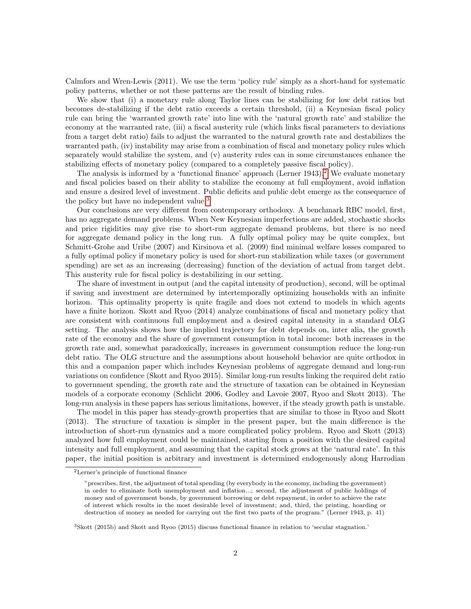Calmfors and Wren-Lewis (2011). We use the term 'policy rule' simply as a short-hand for systematic policy patterns, whether or not these patterns are the result of binding rules.

We show that (i) a monetary rule along Taylor lines can be stabilizing for low debt ratios but becomes de-stabilizing if the debt ratio exceeds a certain threshold, (ii) a Keynesian fiscal policy rule can bring the 'warranted growth rate' into line with the 'natural growth rate' and stabilize the economy at the warranted rate, (iii) a fiscal austerity rule (which links fiscal parameters to deviations from a target debt ratio) fails to adjust the warranted to the natural growth rate and destabilizes the warranted path, (iv) instability may arise from a combination of fiscal and monetary policy rules which separately would stabilize the system, and (v) austerity rules can in some circumstances enhance the stabilizing effects of monetary policy (compared to a completely passive fiscal policy).

The analysis is informed by a 'functional finance' approach (Lerner  $1943$ ).<sup>[2](#page-3-0)</sup> We evaluate monetary and fiscal policies based on their ability to stabilize the economy at full employment, avoid inflation and ensure a desired level of investment. Public deficits and public debt emerge as the consequence of the policy but have no independent value.<sup>[3](#page-3-1)</sup>

Our conclusions are very different from contemporary orthodoxy. A benchmark RBC model, first, has no aggregate demand problems. When New Keynesian imperfections are added, stochastic shocks and price rigidities may give rise to short-run aggregate demand problems, but there is no need for aggregate demand policy in the long run. A fully optimal policy may be quite complex, but Schmitt-Grohe and Uribe (2007) and Kirsinova et al. (2009) find minimal welfare losses compared to a fully optimal policy if monetary policy is used for short-run stabilization while taxes (or government spending) are set as an increasing (decreasing) function of the deviation of actual from target debt. This austerity rule for fiscal policy is destabilizing in our setting.

The share of investment in output (and the capital intensity of production), second, will be optimal if saving and investment are determined by intertemporally optimizing households with an infinite horizon. This optimality property is quite fragile and does not extend to models in which agents have a finite horizon. Skott and Ryoo (2014) analyze combinations of fiscal and monetary policy that are consistent with continuous full employment and a desired capital intensity in a standard OLG setting. The analysis shows how the implied trajectory for debt depends on, inter alia, the growth rate of the economy and the share of government consumption in total income: both increases in the growth rate and, somewhat paradoxically, increases in government consumption reduce the long-run debt ratio. The OLG structure and the assumptions about household behavior are quite orthodox in this and a companion paper which includes Keynesian problems of aggregate demand and long-run variations on confidence (Skott and Ryoo 2015). Similar long-run results linking the required debt ratio to government spending, the growth rate and the structure of taxation can be obtained in Keynesian models of a corporate economy (Schlicht 2006, Godley and Lavoie 2007, Ryoo and Skott 2013). The long-run analysis in these papers has serious limitations, however, if the steady growth path is unstable.

The model in this paper has steady-growth properties that are similar to those in Ryoo and Skott (2013). The structure of taxation is simpler in the present paper, but the main difference is the introduction of short-run dynamics and a more complicated policy problem. Ryoo and Skott (2013) analyzed how full employment could be maintained, starting from a position with the desired capital intensity and full employment, and assuming that the capital stock grows at the 'natural rate'. In this paper, the initial position is arbitrary and investment is determined endogenously along Harrodian

<span id="page-3-0"></span><sup>2</sup>Lerner's principle of functional finance

<sup>&</sup>quot;prescribes, first, the adjustment of total spending (by everybody in the economy, including the government) in order to eliminate both unemployment and inflation...; second, the adjustment of public holdings of money and of government bonds, by government borrowing or debt repayment, in order to achieve the rate of interest which results in the most desirable level of investment; and, third, the printing, hoarding or destruction of money as needed for carrying out the first two parts of the program." (Lerner 1943, p. 41)

<span id="page-3-1"></span><sup>3</sup>Skott (2015b) and Skott and Ryoo (2015) discuss functional finance in relation to 'secular stagnation.'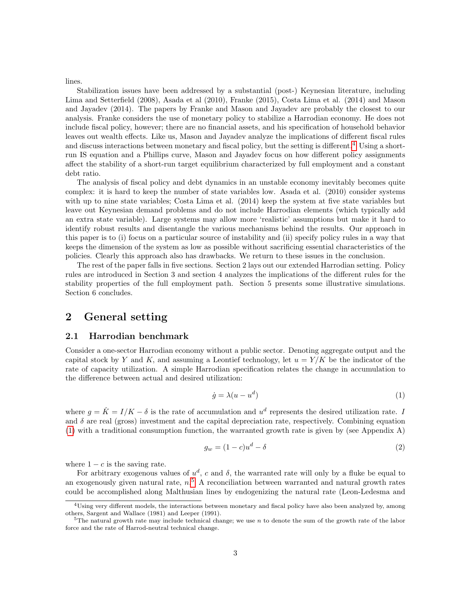lines.

Stabilization issues have been addressed by a substantial (post-) Keynesian literature, including Lima and Setterfield (2008), Asada et al (2010), Franke (2015), Costa Lima et al. (2014) and Mason and Jayadev (2014). The papers by Franke and Mason and Jayadev are probably the closest to our analysis. Franke considers the use of monetary policy to stabilize a Harrodian economy. He does not include fiscal policy, however; there are no financial assets, and his specification of household behavior leaves out wealth effects. Like us, Mason and Jayadev analyze the implications of different fiscal rules and discuss interactions between monetary and fiscal policy, but the setting is different.<sup>[4](#page-4-0)</sup> Using a shortrun IS equation and a Phillips curve, Mason and Jayadev focus on how different policy assignments affect the stability of a short-run target equilibrium characterized by full employment and a constant debt ratio.

The analysis of fiscal policy and debt dynamics in an unstable economy inevitably becomes quite complex: it is hard to keep the number of state variables low. Asada et al. (2010) consider systems with up to nine state variables; Costa Lima et al. (2014) keep the system at five state variables but leave out Keynesian demand problems and do not include Harrodian elements (which typically add an extra state variable). Large systems may allow more 'realistic' assumptions but make it hard to identify robust results and disentangle the various mechanisms behind the results. Our approach in this paper is to (i) focus on a particular source of instability and (ii) specify policy rules in a way that keeps the dimension of the system as low as possible without sacrificing essential characteristics of the policies. Clearly this approach also has drawbacks. We return to these issues in the conclusion.

The rest of the paper falls in five sections. Section 2 lays out our extended Harrodian setting. Policy rules are introduced in Section 3 and section 4 analyzes the implications of the different rules for the stability properties of the full employment path. Section 5 presents some illustrative simulations. Section 6 concludes.

## 2 General setting

#### 2.1 Harrodian benchmark

Consider a one-sector Harrodian economy without a public sector. Denoting aggregate output and the capital stock by Y and K, and assuming a Leontief technology, let  $u = Y/K$  be the indicator of the rate of capacity utilization. A simple Harrodian specification relates the change in accumulation to the difference between actual and desired utilization:

<span id="page-4-1"></span>
$$
\dot{g} = \lambda (u - u^d) \tag{1}
$$

where  $g = \hat{K} = I/K - \delta$  is the rate of accumulation and  $u^d$  represents the desired utilization rate. I and  $\delta$  are real (gross) investment and the capital depreciation rate, respectively. Combining equation [\(1\)](#page-4-1) with a traditional consumption function, the warranted growth rate is given by (see Appendix A)

$$
g_w = (1 - c)u^d - \delta \tag{2}
$$

where  $1 - c$  is the saving rate.

For arbitrary exogenous values of  $u^d$ , c and  $\delta$ , the warranted rate will only by a fluke be equal to an exogenously given natural rate,  $n<sup>5</sup>$  $n<sup>5</sup>$  $n<sup>5</sup>$  A reconciliation between warranted and natural growth rates could be accomplished along Malthusian lines by endogenizing the natural rate (Leon-Ledesma and

<span id="page-4-0"></span><sup>&</sup>lt;sup>4</sup>Using very different models, the interactions between monetary and fiscal policy have also been analyzed by, among others, Sargent and Wallace (1981) and Leeper (1991).

<span id="page-4-2"></span><sup>&</sup>lt;sup>5</sup>The natural growth rate may include technical change; we use n to denote the sum of the growth rate of the labor force and the rate of Harrod-neutral technical change.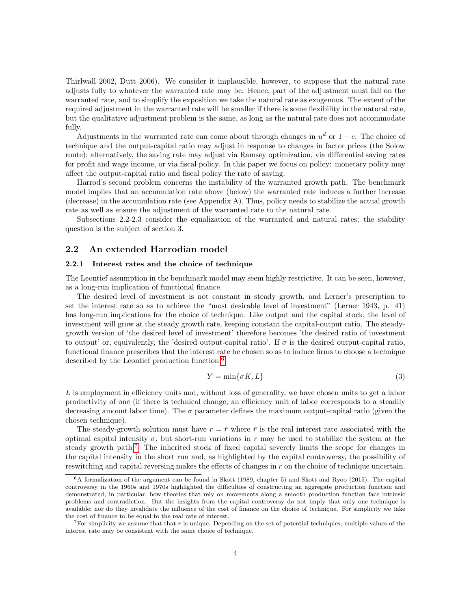Thirlwall 2002, Dutt 2006). We consider it implausible, however, to suppose that the natural rate adjusts fully to whatever the warranted rate may be. Hence, part of the adjustment must fall on the warranted rate, and to simplify the exposition we take the natural rate as exogenous. The extent of the required adjustment in the warranted rate will be smaller if there is some flexibility in the natural rate, but the qualitative adjustment problem is the same, as long as the natural rate does not accommodate fully.

Adjustments in the warranted rate can come about through changes in  $u^d$  or  $1 - c$ . The choice of technique and the output-capital ratio may adjust in response to changes in factor prices (the Solow route); alternatively, the saving rate may adjust via Ramsey optimization, via differential saving rates for profit and wage income, or via fiscal policy. In this paper we focus on policy: monetary policy may affect the output-capital ratio and fiscal policy the rate of saving.

Harrod's second problem concerns the instability of the warranted growth path. The benchmark model implies that an accumulation rate above (below) the warranted rate induces a further increase (decrease) in the accumulation rate (see Appendix A). Thus, policy needs to stabilize the actual growth rate as well as ensure the adjustment of the warranted rate to the natural rate.

Subsections 2.2-2.3 consider the equalization of the warranted and natural rates; the stability question is the subject of section 3.

#### 2.2 An extended Harrodian model

#### 2.2.1 Interest rates and the choice of technique

The Leontief assumption in the benchmark model may seem highly restrictive. It can be seen, however, as a long-run implication of functional finance.

The desired level of investment is not constant in steady growth, and Lerner's prescription to set the interest rate so as to achieve the "most desirable level of investment" (Lerner 1943, p. 41) has long-run implications for the choice of technique. Like output and the capital stock, the level of investment will grow at the steady growth rate, keeping constant the capital-output ratio. The steadygrowth version of 'the desired level of investment' therefore becomes 'the desired ratio of investment to output' or, equivalently, the 'desired output-capital ratio'. If  $\sigma$  is the desired output-capital ratio, functional finance prescribes that the interest rate be chosen so as to induce firms to choose a technique described by the Leontief production function,[6](#page-5-0)

<span id="page-5-2"></span>
$$
Y = \min\{\sigma K, L\} \tag{3}
$$

L is employment in efficiency units and, without loss of generality, we have chosen units to get a labor productivity of one (if there is technical change, an efficiency unit of labor corresponds to a steadily decreasing amount labor time). The  $\sigma$  parameter defines the maximum output-capital ratio (given the chosen technique).

The steady-growth solution must have  $r = \bar{r}$  where  $\bar{r}$  is the real interest rate associated with the optimal capital intensity  $\sigma$ , but short-run variations in r may be used to stabilize the system at the steady growth path.[7](#page-5-1) The inherited stock of fixed capital severely limits the scope for changes in the capital intensity in the short run and, as highlighted by the capital controversy, the possibility of reswitching and capital reversing makes the effects of changes in r on the choice of technique uncertain.

<span id="page-5-0"></span> $6A$  formalization of the argument can be found in Skott (1989, chapter 5) and Skott and Ryoo (2015). The capital controversy in the 1960s and 1970s highlighted the difficulties of constructing an aggregate production function and demonstrated, in particular, how theories that rely on movements along a smooth production function face intrinsic problems and contradiction. But the insights from the capital controversy do not imply that only one technique is available; nor do they invalidate the influence of the cost of finance on the choice of technique. For simplicity we take the cost of finance to be equal to the real rate of interest.

<span id="page-5-1"></span><sup>&</sup>lt;sup>7</sup>For simplicity we assume that that  $\bar{r}$  is unique. Depending on the set of potential techniques, multiple values of the interest rate may be consistent with the same choice of technique.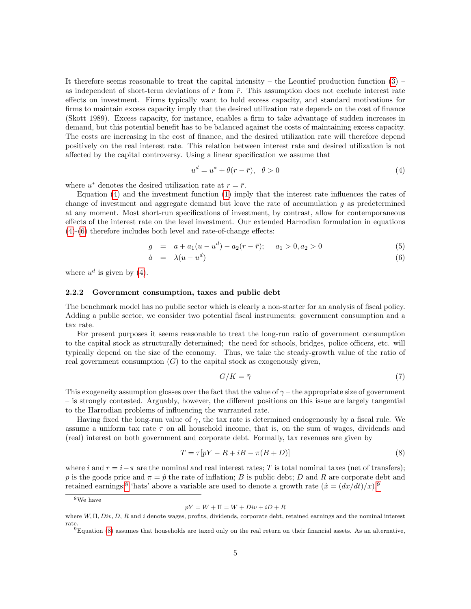It therefore seems reasonable to treat the capital intensity – the Leontief production function  $(3)$ as independent of short-term deviations of r from  $\bar{r}$ . This assumption does not exclude interest rate effects on investment. Firms typically want to hold excess capacity, and standard motivations for firms to maintain excess capacity imply that the desired utilization rate depends on the cost of finance (Skott 1989). Excess capacity, for instance, enables a firm to take advantage of sudden increases in demand, but this potential benefit has to be balanced against the costs of maintaining excess capacity. The costs are increasing in the cost of finance, and the desired utilization rate will therefore depend positively on the real interest rate. This relation between interest rate and desired utilization is not affected by the capital controversy. Using a linear specification we assume that

<span id="page-6-0"></span>
$$
u^d = u^* + \theta(r - \bar{r}), \quad \theta > 0 \tag{4}
$$

where  $u^*$  denotes the desired utilization rate at  $r = \bar{r}$ .

Equation [\(4\)](#page-6-0) and the investment function [\(1\)](#page-4-1) imply that the interest rate influences the rates of change of investment and aggregate demand but leave the rate of accumulation  $g$  as predetermined at any moment. Most short-run specifications of investment, by contrast, allow for contemporaneous effects of the interest rate on the level investment. Our extended Harrodian formulation in equations [\(4\)](#page-6-0)-[\(6\)](#page-6-1) therefore includes both level and rate-of-change effects:

<span id="page-6-1"></span>
$$
g = a + a_1(u - u^d) - a_2(r - \bar{r}); \quad a_1 > 0, a_2 > 0 \tag{5}
$$

$$
\dot{a} = \lambda (u - u^d) \tag{6}
$$

where  $u^d$  is given by [\(4\)](#page-6-0).

#### 2.2.2 Government consumption, taxes and public debt

The benchmark model has no public sector which is clearly a non-starter for an analysis of fiscal policy. Adding a public sector, we consider two potential fiscal instruments: government consumption and a tax rate.

For present purposes it seems reasonable to treat the long-run ratio of government consumption to the capital stock as structurally determined; the need for schools, bridges, police officers, etc. will typically depend on the size of the economy. Thus, we take the steady-growth value of the ratio of real government consumption  $(G)$  to the capital stock as exogenously given,

<span id="page-6-5"></span>
$$
G/K = \bar{\gamma} \tag{7}
$$

This exogeneity assumption glosses over the fact that the value of  $\gamma$  – the appropriate size of government – is strongly contested. Arguably, however, the different positions on this issue are largely tangential to the Harrodian problems of influencing the warranted rate.

Having fixed the long-run value of  $\gamma$ , the tax rate is determined endogenously by a fiscal rule. We assume a uniform tax rate  $\tau$  on all household income, that is, on the sum of wages, dividends and (real) interest on both government and corporate debt. Formally, tax revenues are given by

<span id="page-6-4"></span>
$$
T = \tau[pY - R + iB - \pi(B + D)] \tag{8}
$$

where i and  $r = i - \pi$  are the nominal and real interest rates; T is total nominal taxes (net of transfers); p is the goods price and  $\pi = \hat{p}$  the rate of inflation; B is public debt; D and R are corporate debt and retained earnings;<sup>[8](#page-6-2)</sup> 'hats' above a variable are used to denote a growth rate  $(\hat{x} = (dx/dt)/x)$ .<sup>[9](#page-6-3)</sup>

<span id="page-6-2"></span><sup>8</sup>We have

 $pY = W + \Pi = W + Div + iD + R$ 

where  $W, \Pi, Div, D, R$  and i denote wages, profits, dividends, corporate debt, retained earnings and the nominal interest rate.

<span id="page-6-3"></span> $9E$ quation [\(8\)](#page-6-4) assumes that households are taxed only on the real return on their financial assets. As an alternative,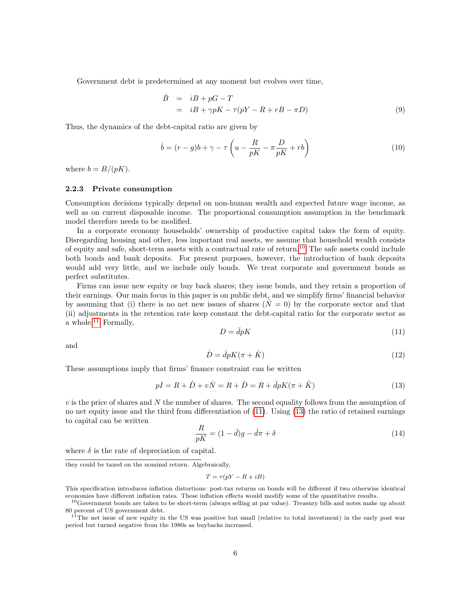Government debt is predetermined at any moment but evolves over time,

<span id="page-7-4"></span>
$$
\dot{B} = iB + pG - T
$$
  
=  $iB + \gamma pK - \tau(pY - R + rB - \pi D)$  (9)

Thus, the dynamics of the debt-capital ratio are given by

<span id="page-7-7"></span>
$$
\dot{b} = (r - g)b + \gamma - \tau \left( u - \frac{R}{pK} - \pi \frac{D}{pK} + rb \right)
$$
\n(10)

where  $b = B/(pK)$ .

#### 2.2.3 Private consumption

Consumption decisions typically depend on non-human wealth and expected future wage income, as well as on current disposable income. The proportional consumption assumption in the benchmark model therefore needs to be modified.

In a corporate economy households' ownership of productive capital takes the form of equity. Disregarding housing and other, less important real assets, we assume that household wealth consists of equity and safe, short-term assets with a contractual rate of return.<sup>[10](#page-7-0)</sup> The safe assets could include both bonds and bank deposits. For present purposes, however, the introduction of bank deposits would add very little, and we include only bonds. We treat corporate and government bonds as perfect substitutes.

Firms can issue new equity or buy back shares; they issue bonds, and they retain a proportion of their earnings. Our main focus in this paper is on public debt, and we simplify firms' financial behavior by assuming that (i) there is no net new issues of shares  $(N = 0)$  by the corporate sector and that (ii) adjustments in the retention rate keep constant the debt-capital ratio for the corporate sector as a whole.<sup>[11](#page-7-1)</sup> Formally,

<span id="page-7-2"></span>
$$
D = \bar{d}pK\tag{11}
$$

and

<span id="page-7-5"></span>
$$
\dot{D} = \bar{d}pK(\pi + \hat{K})\tag{12}
$$

These assumptions imply that firms' finance constraint can be written

<span id="page-7-3"></span>
$$
pI = R + \dot{D} + v\dot{N} = R + \dot{D} = R + \bar{d}pK(\pi + \hat{K})
$$
\n(13)

 $v$  is the price of shares and  $N$  the number of shares. The second equality follows from the assumption of no net equity issue and the third from differentiation of [\(11\)](#page-7-2). Using [\(13\)](#page-7-3) the ratio of retained earnings to capital can be written

<span id="page-7-6"></span>
$$
\frac{R}{pK} = (1 - \bar{d})g - \bar{d}\pi + \delta \tag{14}
$$

where  $\delta$  is the rate of depreciation of capital.

$$
T = \tau(pY - R + iB)
$$

they could be taxed on the nominal return. Algebraically,

This specification introduces inflation distortions: post-tax returns on bonds will be different if two otherwise identical economies have different inflation rates. These inflation effects would modify some of the quantitative results.

<span id="page-7-0"></span> $10$ Government bonds are taken to be short-term (always selling at par value). Treasury bills and notes make up about 80 percent of US government debt.

<span id="page-7-1"></span> $11$ The net issue of new equity in the US was positive but small (relative to total investment) in the early post war period but turned negative from the 1980s as buybacks increased.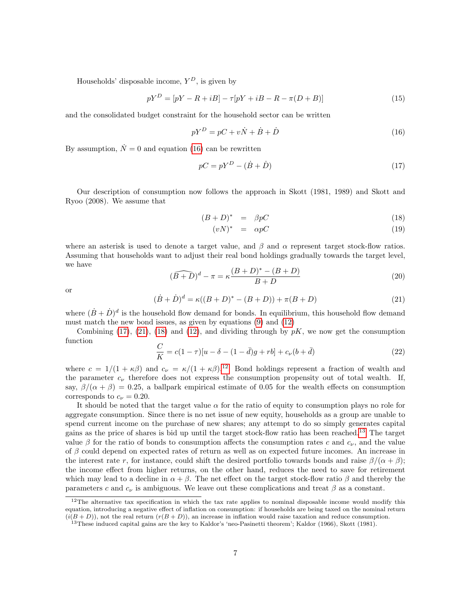Households' disposable income,  $Y^D$ , is given by

$$
pY^{D} = [pY - R + iB] - \tau[pY + iB - R - \pi(D + B)]
$$
\n(15)

and the consolidated budget constraint for the household sector can be written

<span id="page-8-0"></span>
$$
pY^D = pC + v\dot{N} + \dot{B} + \dot{D}
$$
\n<sup>(16)</sup>

By assumption,  $\dot{N} = 0$  and equation [\(16\)](#page-8-0) can be rewritten

<span id="page-8-1"></span>
$$
pC = pY^D - (\dot{B} + \dot{D})\tag{17}
$$

Our description of consumption now follows the approach in Skott (1981, 1989) and Skott and Ryoo (2008). We assume that

<span id="page-8-3"></span>
$$
(B+D)^* = \beta pC \tag{18}
$$

$$
(vN)^* = \alpha pC \tag{19}
$$

where an asterisk is used to denote a target value, and  $\beta$  and  $\alpha$  represent target stock-flow ratios. Assuming that households want to adjust their real bond holdings gradually towards the target level, we have

$$
(\widehat{B+D})^d - \pi = \kappa \frac{(B+D)^* - (B+D)}{B+D}
$$
\n
$$
(20)
$$

or

<span id="page-8-2"></span>
$$
(\dot{B} + \dot{D})^d = \kappa((B + D)^* - (B + D)) + \pi(B + D)
$$
\n(21)

where  $(\dot{B} + \dot{D})^d$  is the household flow demand for bonds. In equilibrium, this household flow demand must match the new bond issues, as given by equations [\(9\)](#page-7-4) and [\(12\)](#page-7-5)

Combining [\(17\)](#page-8-1), [\(21\)](#page-8-2), [\(18\)](#page-8-3) and [\(12\)](#page-7-5), and dividing through by  $pK$ , we now get the consumption function

<span id="page-8-6"></span>
$$
\frac{C}{K} = c(1 - \tau)[u - \delta - (1 - \bar{d})g + rb] + c_{\nu}(b + \bar{d})
$$
\n(22)

where  $c = 1/(1 + \kappa \beta)$  and  $c_{\nu} = \kappa/(1 + \kappa \beta)$ .<sup>[12](#page-8-4)</sup> Bond holdings represent a fraction of wealth and the parameter  $c_{\nu}$  therefore does not express the consumption propensity out of total wealth. If, say,  $\beta/(\alpha + \beta) = 0.25$ , a ballpark empirical estimate of 0.05 for the wealth effects on consumption corresponds to  $c_{\nu} = 0.20$ .

It should be noted that the target value  $\alpha$  for the ratio of equity to consumption plays no role for aggregate consumption. Since there is no net issue of new equity, households as a group are unable to spend current income on the purchase of new shares; any attempt to do so simply generates capital gains as the price of shares is bid up until the target stock-flow ratio has been reached.[13](#page-8-5) The target value  $\beta$  for the ratio of bonds to consumption affects the consumption rates c and  $c_{\nu}$ , and the value of  $\beta$  could depend on expected rates of return as well as on expected future incomes. An increase in the interest rate r, for instance, could shift the desired portfolio towards bonds and raise  $\beta/(\alpha + \beta)$ ; the income effect from higher returns, on the other hand, reduces the need to save for retirement which may lead to a decline in  $\alpha + \beta$ . The net effect on the target stock-flow ratio  $\beta$  and thereby the parameters c and  $c_{\nu}$  is ambiguous. We leave out these complications and treat  $\beta$  as a constant.

<span id="page-8-4"></span><sup>&</sup>lt;sup>12</sup>The alternative tax specification in which the tax rate applies to nominal disposable income would modify this equation, introducing a negative effect of inflation on consumption: if households are being taxed on the nominal return  $(i(B + D))$ , not the real return  $(r(B + D))$ , an increase in inflation would raise taxation and reduce consumption.

<span id="page-8-5"></span><sup>&</sup>lt;sup>13</sup>These induced capital gains are the key to Kaldor's 'neo-Pasinetti theorem'; Kaldor (1966), Skott (1981).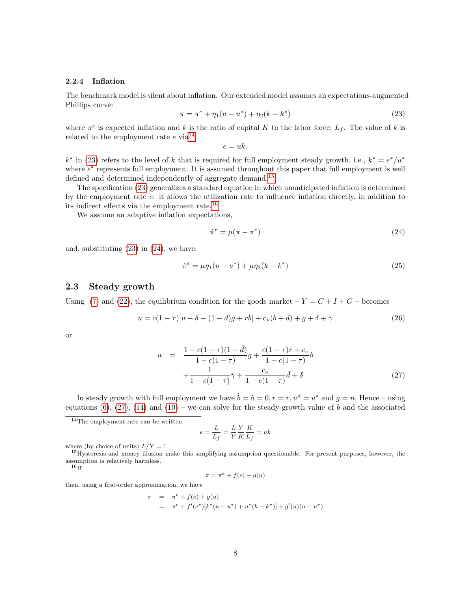#### 2.2.4 Inflation

The benchmark model is silent about inflation. Our extended model assumes an expectations-augmented Phillips curve:

<span id="page-9-1"></span>
$$
\pi = \pi^{e} + \eta_{1}(u - u^{*}) + \eta_{2}(k - k^{*})
$$
\n(23)

where  $\pi^e$  is expected inflation and k is the ratio of capital K to the labor force,  $L_f$ . The value of k is related to the employment rate  $e$  via<sup>[14](#page-9-0)</sup>

$$
e = uk.
$$

 $k^*$  in [\(23\)](#page-9-1) refers to the level of k that is required for full employment steady growth, i.e.,  $k^* = e^*/u^*$ where  $e^*$  represents full employment. It is assumed throughout this paper that full employment is well defined and determined independently of aggregate demand.<sup>[15](#page-9-2)</sup>

The specification [\(23\)](#page-9-1) generalizes a standard equation in which unanticipated inflation is determined by the employment rate e: it allows the utilization rate to influence inflation directly, in addition to its indirect effects via the employment rate.[16](#page-9-3)

We assume an adaptive inflation expectations,

<span id="page-9-4"></span>
$$
\dot{\pi}^e = \mu(\pi - \pi^e) \tag{24}
$$

and, substituting [\(23\)](#page-9-1) in [\(24\)](#page-9-4), we have:

<span id="page-9-6"></span>
$$
\dot{\pi}^e = \mu \eta_1 (u - u^*) + \mu \eta_2 (k - k^*)
$$
\n(25)

#### 2.3 Steady growth

Using [\(7\)](#page-6-5) and [\(22\)](#page-8-6), the equilibrium condition for the goods market –  $Y = C + I + G$  – becomes

<span id="page-9-7"></span>
$$
u = c(1 - \tau)[u - \delta - (1 - \bar{d})g + rb] + c_{\nu}(b + \bar{d}) + g + \delta + \bar{\gamma}
$$
\n(26)

or

<span id="page-9-5"></span>
$$
u = \frac{1 - c(1 - \tau)(1 - \bar{d})}{1 - c(1 - \tau)}g + \frac{c(1 - \tau)r + c_{\nu}}{1 - c(1 - \tau)}b + \frac{1}{1 - c(1 - \tau)}\bar{\gamma} + \frac{c_{\nu}}{1 - c(1 - \tau)}\bar{d} + \delta
$$
\n(27)

In steady growth with full employment we have  $\dot{b} = \dot{a} = 0, r = \bar{r}, u^d = u^*$  and  $g = n$ . Hence – using equations [\(6\)](#page-6-1), [\(27\)](#page-9-5), [\(14\)](#page-7-6) and [\(10\)](#page-7-7) – we can solve for the steady-growth value of b and the associated

<span id="page-9-0"></span><sup>14</sup>The employment rate can be written

$$
e=\frac{L}{L_f}=\frac{L}{Y}\frac{Y}{K}\frac{K}{L_f}=uk
$$

where (by choice of units)  $L/Y = 1$ 

<span id="page-9-2"></span><sup>15</sup>Hysteresis and money illusion make this simplifying assumption questionable. For present purposes, however, the assumption is relatively harmless.

<span id="page-9-3"></span> $16$ <sub>If</sub>

$$
\pi = \pi^e + f(e) + g(u)
$$

then, using a first-order approximation, we have

$$
\pi = \pi^{e} + f(e) + g(u)
$$
  
=  $\pi^{e} + f'(e^{*})[k^{*}(u - u^{*}) + u^{*}(k - k^{*})] + g'(u)(u - u^{*})$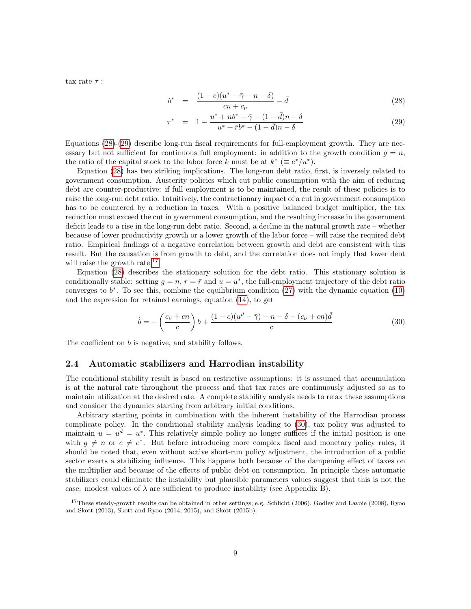tax rate  $\tau$  :

<span id="page-10-0"></span>
$$
b^* = \frac{(1-c)(u^* - \bar{\gamma} - n - \delta)}{cn + c_{\nu}} - \bar{d}
$$
 (28)

$$
\tau^* = 1 - \frac{u^* + nb^* - \bar{\gamma} - (1 - \bar{d})n - \delta}{u^* + \bar{r}b^* - (1 - \bar{d})n - \delta} \tag{29}
$$

Equations [\(28\)](#page-10-0)-[\(29\)](#page-10-0) describe long-run fiscal requirements for full-employment growth. They are necessary but not sufficient for continuous full employment: in addition to the growth condition  $g = n$ , the ratio of the capital stock to the labor force k must be at  $k^*$  ( $\equiv e^*/u^*$ ).

Equation [\(28\)](#page-10-0) has two striking implications. The long-run debt ratio, first, is inversely related to government consumption. Austerity policies which cut public consumption with the aim of reducing debt are counter-productive: if full employment is to be maintained, the result of these policies is to raise the long-run debt ratio. Intuitively, the contractionary impact of a cut in government consumption has to be countered by a reduction in taxes. With a positive balanced budget multiplier, the tax reduction must exceed the cut in government consumption, and the resulting increase in the government deficit leads to a rise in the long-run debt ratio. Second, a decline in the natural growth rate – whether because of lower productivity growth or a lower growth of the labor force – will raise the required debt ratio. Empirical findings of a negative correlation between growth and debt are consistent with this result. But the causation is from growth to debt, and the correlation does not imply that lower debt will raise the growth rate.<sup>[17](#page-10-1)</sup>

Equation [\(28\)](#page-10-0) describes the stationary solution for the debt ratio. This stationary solution is conditionally stable: setting  $g = n$ ,  $r = \bar{r}$  and  $u = u^*$ , the full-employment trajectory of the debt ratio converges to  $b^*$ . To see this, combine the equilibrium condition  $(27)$  with the dynamic equation  $(10)$ and the expression for retained earnings, equation [\(14\)](#page-7-6), to get

<span id="page-10-2"></span>
$$
\dot{b} = -\left(\frac{c_{\nu} + cn}{c}\right)b + \frac{(1 - c)(u^d - \bar{\gamma}) - n - \delta - (c_{\nu} + cn)\bar{d}}{c} \tag{30}
$$

The coefficient on b is negative, and stability follows.

#### 2.4 Automatic stabilizers and Harrodian instability

The conditional stability result is based on restrictive assumptions: it is assumed that accumulation is at the natural rate throughout the process and that tax rates are continuously adjusted so as to maintain utilization at the desired rate. A complete stability analysis needs to relax these assumptions and consider the dynamics starting from arbitrary initial conditions.

Arbitrary starting points in combination with the inherent instability of the Harrodian process complicate policy. In the conditional stability analysis leading to [\(30\)](#page-10-2), tax policy was adjusted to maintain  $u = u<sup>d</sup> = u<sup>*</sup>$ . This relatively simple policy no longer suffices if the initial position is one with  $g \neq n$  or  $e \neq e^*$ . But before introducing more complex fiscal and monetary policy rules, it should be noted that, even without active short-run policy adjustment, the introduction of a public sector exerts a stabilizing influence. This happens both because of the dampening effect of taxes on the multiplier and because of the effects of public debt on consumption. In principle these automatic stabilizers could eliminate the instability but plausible parameters values suggest that this is not the case: modest values of  $\lambda$  are sufficient to produce instability (see Appendix B).

<span id="page-10-1"></span><sup>&</sup>lt;sup>17</sup>These steady-growth results can be obtained in other settings; e.g. Schlicht (2006), Godley and Lavoie (2008), Ryoo and Skott (2013), Skott and Ryoo (2014, 2015), and Skott (2015b).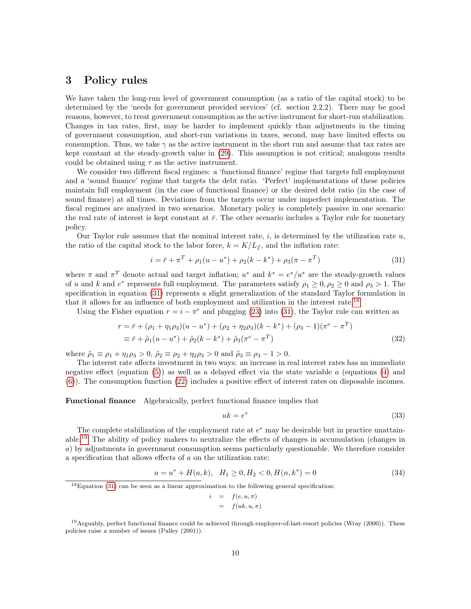## 3 Policy rules

We have taken the long-run level of government consumption (as a ratio of the capital stock) to be determined by the 'needs for government provided services' (cf. section 2.2.2). There may be good reasons, however, to treat government consumption as the active instrument for short-run stabilization. Changes in tax rates, first, may be harder to implement quickly than adjustments in the timing of government consumption, and short-run variations in taxes, second, may have limited effects on consumption. Thus, we take  $\gamma$  as the active instrument in the short run and assume that tax rates are kept constant at the steady-growth value in [\(29\)](#page-10-0). This assumption is not critical; analogous results could be obtained using  $\tau$  as the active instrument.

We consider two different fiscal regimes: a 'functional finance' regime that targets full employment and a 'sound finance' regime that targets the debt ratio. 'Perfect' implementations of these policies maintain full employment (in the case of functional finance) or the desired debt ratio (in the case of sound finance) at all times. Deviations from the targets occur under imperfect implementation. The fiscal regimes are analyzed in two scenarios. Monetary policy is completely passive in one scenario: the real rate of interest is kept constant at  $\bar{r}$ . The other scenario includes a Taylor rule for monetary policy.

Our Taylor rule assumes that the nominal interest rate,  $i$ , is determined by the utilization rate  $u$ , the ratio of the capital stock to the labor force,  $k = K/L_f$ , and the inflation rate:

<span id="page-11-0"></span>
$$
i = \bar{r} + \pi^T + \rho_1(u - u^*) + \rho_2(k - k^*) + \rho_3(\pi - \pi^T)
$$
\n(31)

where  $\pi$  and  $\pi^T$  denote actual and target inflation;  $u^*$  and  $k^* = e^*/u^*$  are the steady-growth values of u and k and  $e^*$  represents full employment. The parameters satisfy  $\rho_1 \geq 0, \rho_2 \geq 0$  and  $\rho_3 > 1$ . The specification in equation [\(31\)](#page-11-0) represents a slight generalization of the standard Taylor formulation in that it allows for an influence of both employment and utilization in the interest rate.[18](#page-11-1)

Using the Fisher equation  $r = i - \pi^e$  and plugging [\(23\)](#page-9-1) into [\(31\)](#page-11-0), the Taylor rule can written as

$$
r = \bar{r} + (\rho_1 + \eta_1 \rho_3)(u - u^*) + (\rho_2 + \eta_2 \rho_3)(k - k^*) + (\rho_3 - 1)(\pi^e - \pi^T)
$$
  

$$
\equiv \bar{r} + \tilde{\rho}_1(u - u^*) + \tilde{\rho}_2(k - k^*) + \tilde{\rho}_3(\pi^e - \pi^T)
$$
 (32)

where  $\tilde{\rho}_1 \equiv \rho_1 + \eta_1 \rho_3 > 0$ ,  $\tilde{\rho}_2 \equiv \rho_2 + \eta_2 \rho_3 > 0$  and  $\tilde{\rho}_3 \equiv \rho_3 - 1 > 0$ .

The interest rate affects investment in two ways: an increase in real interest rates has an immediate negative effect (equation  $(5)$ ) as well as a delayed effect via the state variable a (equations  $(4)$ ) and [\(6\)](#page-6-1)). The consumption function [\(22\)](#page-8-6) includes a positive effect of interest rates on disposable incomes.

Functional finance Algebraically, perfect functional finance implies that

<span id="page-11-5"></span><span id="page-11-4"></span>
$$
uk = e^* \tag{33}
$$

The complete stabilization of the employment rate at  $e^*$  may be desirable but in practice unattainable.[19](#page-11-2) The ability of policy makers to neutralize the effects of changes in accumulation (changes in a) by adjustments in government consumption seems particularly questionable. We therefore consider a specification that allows effects of a on the utilization rate:

<span id="page-11-3"></span>
$$
u = u^* + H(a, k), \quad H_1 \ge 0, H_2 < 0, H(n, k^*) = 0 \tag{34}
$$

<span id="page-11-1"></span><sup>18</sup>Equation [\(31\)](#page-11-0) can be seen as a linear approximation to the following general specification:

$$
i = f(e, u, \pi)
$$
  
=  $f(uk, u, \pi)$ 

<span id="page-11-2"></span> $19$ Arguably, perfect functional finance could be achieved through employer-of-last-resort policies (Wray (2000)). These policies raise a number of issues (Palley (2001)).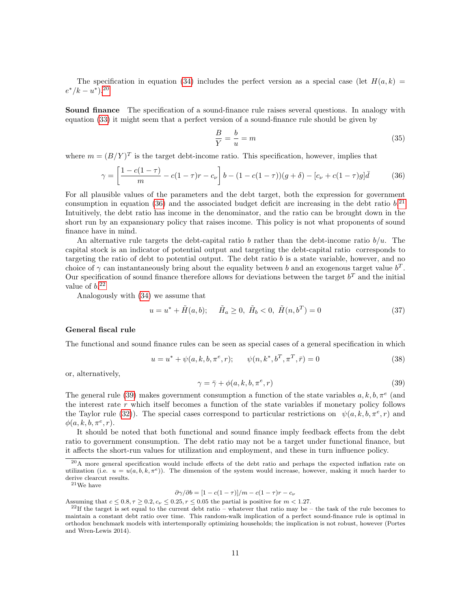The specification in equation [\(34\)](#page-11-3) includes the perfect version as a special case (let  $H(a, k)$  =  $e^*/k-u^*$ ).<sup>[20](#page-12-0)</sup>

Sound finance The specification of a sound-finance rule raises several questions. In analogy with equation [\(33\)](#page-11-4) it might seem that a perfect version of a sound-finance rule should be given by

$$
\frac{B}{Y} = \frac{b}{u} = m \tag{35}
$$

where  $m = (B/Y)^T$  is the target debt-income ratio. This specification, however, implies that

<span id="page-12-1"></span>
$$
\gamma = \left[\frac{1 - c(1 - \tau)}{m} - c(1 - \tau)r - c_{\nu}\right]b - (1 - c(1 - \tau))(g + \delta) - [c_{\nu} + c(1 - \tau)g]\bar{d}
$$
(36)

For all plausible values of the parameters and the debt target, both the expression for government consumption in equation [\(36\)](#page-12-1) and the associated budget deficit are increasing in the debt ratio  $b$ <sup>[21](#page-12-2)</sup> Intuitively, the debt ratio has income in the denominator, and the ratio can be brought down in the short run by an expansionary policy that raises income. This policy is not what proponents of sound finance have in mind.

An alternative rule targets the debt-capital ratio b rather than the debt-income ratio  $b/u$ . The capital stock is an indicator of potential output and targeting the debt-capital ratio corresponds to targeting the ratio of debt to potential output. The debt ratio  $b$  is a state variable, however, and no choice of  $\gamma$  can instantaneously bring about the equality between b and an exogenous target value  $b^T$ . Our specification of sound finance therefore allows for deviations between the target  $b^T$  and the initial value of  $b.^{22}$  $b.^{22}$  $b.^{22}$ 

Analogously with [\(34\)](#page-11-3) we assume that

$$
u = u^* + \tilde{H}(a, b); \quad \tilde{H}_a \ge 0, \ \tilde{H}_b < 0, \ \tilde{H}(n, b^T) = 0 \tag{37}
$$

#### General fiscal rule

The functional and sound finance rules can be seen as special cases of a general specification in which

$$
u = u^* + \psi(a, k, b, \pi^e, r); \qquad \psi(n, k^*, b^T, \pi^T, \bar{r}) = 0 \tag{38}
$$

or, alternatively,

<span id="page-12-4"></span>
$$
\gamma = \bar{\gamma} + \phi(a, k, b, \pi^e, r) \tag{39}
$$

The general rule [\(39\)](#page-12-4) makes government consumption a function of the state variables  $a, k, b, \pi^e$  (and the interest rate  $r$  which itself becomes a function of the state variables if monetary policy follows the Taylor rule [\(32\)](#page-11-5)). The special cases correspond to particular restrictions on  $\psi(a, k, b, \pi^e, r)$  and  $\phi(a, k, b, \pi^e, r)$ .

It should be noted that both functional and sound finance imply feedback effects from the debt ratio to government consumption. The debt ratio may not be a target under functional finance, but it affects the short-run values for utilization and employment, and these in turn influence policy.

<span id="page-12-2"></span> $\rm{^{21}We}$  have

$$
\partial \gamma / \partial b = [1 - c(1 - \tau)]/m - c(1 - \tau)r - c_{\nu}
$$

Assuming that  $c < 0.8, \tau > 0.2, c_{\nu} < 0.25, r < 0.05$  the partial is positive for  $m < 1.27$ .

<span id="page-12-0"></span> $^{20}$ A more general specification would include effects of the debt ratio and perhaps the expected inflation rate on utilization (i.e.  $u = u(a, b, k, \pi^e)$ ). The dimension of the system would increase, however, making it much harder to derive clearcut results.

<span id="page-12-3"></span><sup>&</sup>lt;sup>22</sup>If the target is set equal to the current debt ratio – whatever that ratio may be – the task of the rule becomes to maintain a constant debt ratio over time. This random-walk implication of a perfect sound-finance rule is optimal in orthodox benchmark models with intertemporally optimizing households; the implication is not robust, however (Portes and Wren-Lewis 2014).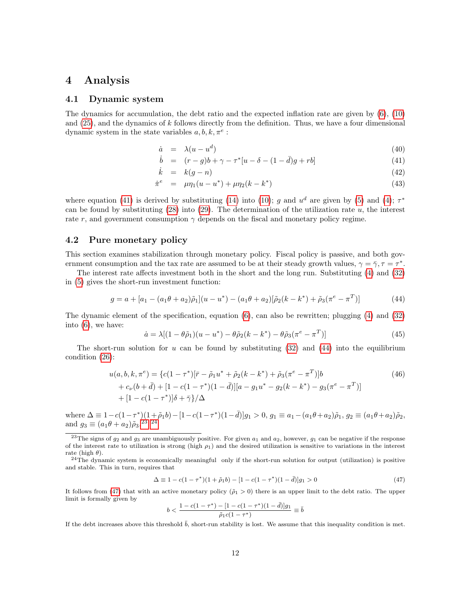## 4 Analysis

#### 4.1 Dynamic system

The dynamics for accumulation, the debt ratio and the expected inflation rate are given by [\(6\)](#page-6-1), [\(10\)](#page-7-7) and  $(25)$ , and the dynamics of k follows directly from the definition. Thus, we have a four dimensional dynamic system in the state variables  $a, b, k, \pi^e$ :

<span id="page-13-0"></span>
$$
\dot{a} = \lambda (u - u^d) \tag{40}
$$

$$
\dot{b} = (r - g)b + \gamma - \tau^* [u - \delta - (1 - \bar{d})g + rb] \tag{41}
$$

$$
\dot{k} = k(g - n) \tag{42}
$$

$$
\dot{\pi}^e = \mu \eta_1 (u - u^*) + \mu \eta_2 (k - k^*) \tag{43}
$$

where equation [\(41\)](#page-13-0) is derived by substituting [\(14\)](#page-7-6) into [\(10\)](#page-7-7); g and  $u<sup>d</sup>$  are given by [\(5\)](#page-6-1) and [\(4\)](#page-6-0);  $\tau^*$ can be found by substituting  $(28)$  into  $(29)$ . The determination of the utilization rate u, the interest rate r, and government consumption  $\gamma$  depends on the fiscal and monetary policy regime.

#### 4.2 Pure monetary policy

This section examines stabilization through monetary policy. Fiscal policy is passive, and both government consumption and the tax rate are assumed to be at their steady growth values,  $\gamma = \bar{\gamma}, \tau = \tau^*$ .

The interest rate affects investment both in the short and the long run. Substituting [\(4\)](#page-6-0) and [\(32\)](#page-11-5) in [\(5\)](#page-6-1) gives the short-run investment function:

<span id="page-13-1"></span>
$$
g = a + [a_1 - (a_1\theta + a_2)\tilde{\rho}_1](u - u^*) - (a_1\theta + a_2)[\tilde{\rho}_2(k - k^*) + \tilde{\rho}_3(\pi^e - \pi^T)]
$$
\n(44)

The dynamic element of the specification, equation [\(6\)](#page-6-1), can also be rewritten; plugging [\(4\)](#page-6-0) and [\(32\)](#page-11-5) into [\(6\)](#page-6-1), we have:

<span id="page-13-6"></span><span id="page-13-5"></span>
$$
\dot{a} = \lambda \left[ (1 - \theta \tilde{\rho}_1)(u - u^*) - \theta \tilde{\rho}_2(k - k^*) - \theta \tilde{\rho}_3(\pi^e - \pi^T) \right]
$$
(45)

The short-run solution for u can be found by substituting  $(32)$  and  $(44)$  into the equilibrium condition [\(26\)](#page-9-7):

$$
u(a, b, k, \pi^{e}) = \{c(1 - \tau^{*})[\bar{r} - \tilde{\rho}_{1}u^{*} + \tilde{\rho}_{2}(k - k^{*}) + \tilde{\rho}_{3}(\pi^{e} - \pi^{T})]b
$$
  
+  $c_{\nu}(b + \bar{d}) + [1 - c(1 - \tau^{*})(1 - \bar{d})][a - g_{1}u^{*} - g_{2}(k - k^{*}) - g_{3}(\pi^{e} - \pi^{T})]$   
+  $[1 - c(1 - \tau^{*})]\delta + \bar{\gamma}\}/\Delta$  (46)

where  $\Delta \equiv 1 - c(1 - \tau^*)(1 + \tilde{\rho}_1 b) - [1 - c(1 - \tau^*)(1 - \bar{d})]g_1 > 0, g_1 \equiv a_1 - (a_1\theta + a_2)\tilde{\rho}_1, g_2 \equiv (a_1\theta + a_2)\tilde{\rho}_2,$ and  $g_3 \equiv (a_1 \theta + a_2) \tilde{\rho}_3$ .<sup>[23](#page-13-2)</sup> <sup>24</sup>

<span id="page-13-3"></span> $24$ The dynamic system is economically meaningful only if the short-run solution for output (utilization) is positive and stable. This in turn, requires that

<span id="page-13-4"></span>
$$
\Delta \equiv 1 - c(1 - \tau^*)(1 + \tilde{\rho}_1 b) - [1 - c(1 - \tau^*)(1 - \bar{d})]g_1 > 0 \tag{47}
$$

It follows from [\(47\)](#page-13-4) that with an active monetary policy ( $\tilde{\rho}_1 > 0$ ) there is an upper limit to the debt ratio. The upper limit is formally given by

$$
b < \frac{1 - c(1 - \tau^*) - [1 - c(1 - \tau^*)(1 - \bar{d})]g_1}{\tilde{\rho}_1 c(1 - \tau^*)} \equiv \bar{b}
$$

If the debt increases above this threshold  $\bar{b}$ , short-run stability is lost. We assume that this inequality condition is met.

<span id="page-13-2"></span><sup>&</sup>lt;sup>23</sup>The signs of  $g_2$  and  $g_3$  are unambiguously positive. For given  $a_1$  and  $a_2$ , however,  $g_1$  can be negative if the response of the interest rate to utilization is strong (high  $\rho_1$ ) and the desired utilization is sensitive to variations in the interest rate (high  $\theta$ ).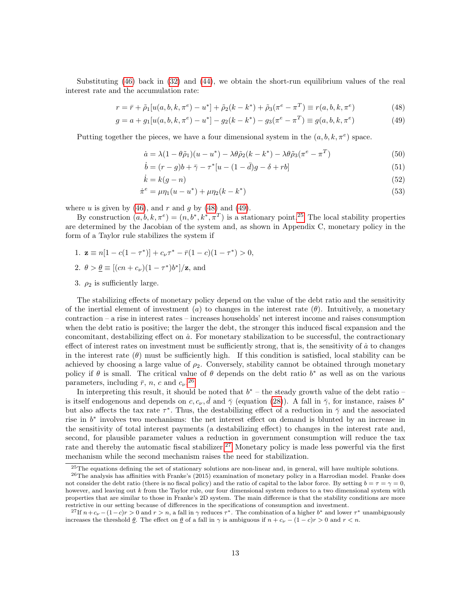Substituting [\(46\)](#page-13-5) back in [\(32\)](#page-11-5) and [\(44\)](#page-13-1), we obtain the short-run equilibrium values of the real interest rate and the accumulation rate:

$$
r = \bar{r} + \tilde{\rho}_1[u(a, b, k, \pi^e) - u^*] + \tilde{\rho}_2(k - k^*) + \tilde{\rho}_3(\pi^e - \pi^T) \equiv r(a, b, k, \pi^e)
$$
(48)

$$
g = a + g_1[u(a, b, k, \pi^e) - u^*] - g_2(k - k^*) - g_3(\pi^e - \pi^T) \equiv g(a, b, k, \pi^e)
$$
(49)

Putting together the pieces, we have a four dimensional system in the  $(a, b, k, \pi^e)$  space.

<span id="page-14-8"></span><span id="page-14-7"></span><span id="page-14-6"></span><span id="page-14-5"></span><span id="page-14-1"></span><span id="page-14-0"></span>
$$
\dot{a} = \lambda (1 - \theta \tilde{\rho}_1)(u - u^*) - \lambda \theta \tilde{\rho}_2(k - k^*) - \lambda \theta \tilde{\rho}_3(\pi^e - \pi^T) \tag{50}
$$

$$
\dot{b} = (r - g)b + \bar{\gamma} - \tau^*[u - (1 - \bar{d})g - \delta + rb] \tag{51}
$$

$$
\dot{k} = k(g - n) \tag{52}
$$

$$
\dot{\pi}^e = \mu \eta_1 (u - u^*) + \mu \eta_2 (k - k^*)
$$
\n(53)

where u is given by  $(46)$ , and r and g by  $(48)$  and  $(49)$ .

By construction  $(a, b, k, \pi^e) = (n, b^*, k^*, \pi^T)$  is a stationary point.<sup>[25](#page-14-2)</sup> The local stability properties are determined by the Jacobian of the system and, as shown in Appendix C, monetary policy in the form of a Taylor rule stabilizes the system if

1.  $\mathbf{z} \equiv n[1 - c(1 - \tau^*)] + c_{\nu}\tau^* - \bar{r}(1 - c)(1 - \tau^*) > 0,$ 

2. 
$$
\theta > \underline{\theta} \equiv [(cn + c_{\nu})(1 - \tau^*)b^*]/\mathbf{z}
$$
, and

3.  $\rho_2$  is sufficiently large.

The stabilizing effects of monetary policy depend on the value of the debt ratio and the sensitivity of the inertial element of investment (a) to changes in the interest rate  $(\theta)$ . Intuitively, a monetary contraction – a rise in interest rates – increases households' net interest income and raises consumption when the debt ratio is positive; the larger the debt, the stronger this induced fiscal expansion and the concomitant, destabilizing effect on  $\dot{a}$ . For monetary stabilization to be successful, the contractionary effect of interest rates on investment must be sufficiently strong, that is, the sensitivity of  $\dot{a}$  to changes in the interest rate  $(\theta)$  must be sufficiently high. If this condition is satisfied, local stability can be achieved by choosing a large value of  $\rho_2$ . Conversely, stability cannot be obtained through monetary policy if  $\theta$  is small. The critical value of  $\theta$  depends on the debt ratio  $b^*$  as well as on the various parameters, including  $\bar{r}$ , n, c and  $c_{\nu}$ .<sup>[26](#page-14-3)</sup>

In interpreting this result, it should be noted that  $b^*$  – the steady growth value of the debt ratio – is itself endogenous and depends on  $c, c_{\nu}, \bar{d}$  and  $\bar{\gamma}$  (equation [\(28\)](#page-10-0)). A fall in  $\bar{\gamma}$ , for instance, raises  $b^*$ but also affects the tax rate  $\tau^*$ . Thus, the destabilizing effect of a reduction in  $\bar{\gamma}$  and the associated rise in  $b^*$  involves two mechanisms: the net interest effect on demand is blunted by an increase in the sensitivity of total interest payments (a destabilizing effect) to changes in the interest rate and, second, for plausible parameter values a reduction in government consumption will reduce the tax rate and thereby the automatic fiscal stabilizer.<sup>[27](#page-14-4)</sup> Monetary policy is made less powerful via the first mechanism while the second mechanism raises the need for stabilization.

<span id="page-14-3"></span><span id="page-14-2"></span> $^{25}$ The equations defining the set of stationary solutions are non-linear and, in general, will have multiple solutions.

<sup>26</sup>The analysis has affinities with Franke's (2015) examination of monetary policy in a Harrodian model. Franke does not consider the debt ratio (there is no fiscal policy) and the ratio of capital to the labor force. By setting  $b = \tau = \gamma = 0$ , however, and leaving out k from the Taylor rule, our four dimensional system reduces to a two dimensional system with properties that are similar to those in Franke's 2D system. The main difference is that the stability conditions are more restrictive in our setting because of differences in the specifications of consumption and investment.

<span id="page-14-4"></span><sup>&</sup>lt;sup>27</sup>If  $n+c_V-(1-c)r>0$  and  $r>n$ , a fall in  $\gamma$  reduces  $\tau^*$ . The combination of a higher  $b^*$  and lower  $\tau^*$  unambiguously increases the threshold  $\underline{\theta}$ . The effect on  $\underline{\theta}$  of a fall in  $\gamma$  is ambiguous if  $n + c_{\nu} - (1 - c)r > 0$  and  $r < n$ .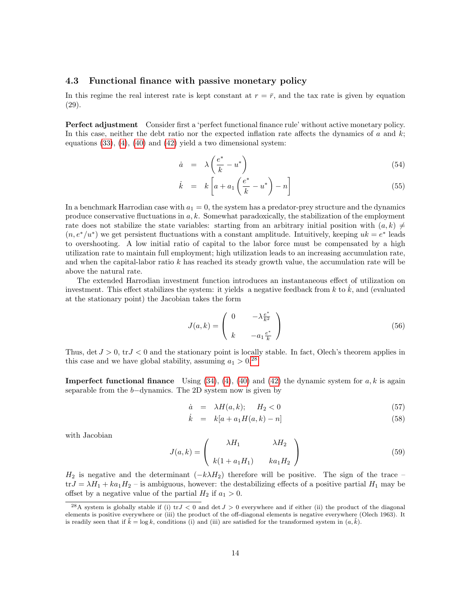#### 4.3 Functional finance with passive monetary policy

In this regime the real interest rate is kept constant at  $r = \bar{r}$ , and the tax rate is given by equation (29).

Perfect adjustment Consider first a 'perfect functional finance rule' without active monetary policy. In this case, neither the debt ratio nor the expected inflation rate affects the dynamics of a and  $k$ ; equations  $(33)$ ,  $(4)$ ,  $(40)$  and  $(42)$  yield a two dimensional system:

$$
\dot{a} = \lambda \left( \frac{e^*}{k} - u^* \right) \tag{54}
$$

$$
\dot{k} = k \left[ a + a_1 \left( \frac{e^*}{k} - u^* \right) - n \right] \tag{55}
$$

In a benchmark Harrodian case with  $a_1 = 0$ , the system has a predator-prey structure and the dynamics produce conservative fluctuations in  $a, k$ . Somewhat paradoxically, the stabilization of the employment rate does not stabilize the state variables: starting from an arbitrary initial position with  $(a, k) \neq$  $(n, e^*/u^*)$  we get persistent fluctuations with a constant amplitude. Intuitively, keeping  $uk = e^*$  leads to overshooting. A low initial ratio of capital to the labor force must be compensated by a high utilization rate to maintain full employment; high utilization leads to an increasing accumulation rate, and when the capital-labor ratio  $k$  has reached its steady growth value, the accumulation rate will be above the natural rate.

The extended Harrodian investment function introduces an instantaneous effect of utilization on investment. This effect stabilizes the system: it yields a negative feedback from  $k$  to  $k$ , and (evaluated at the stationary point) the Jacobian takes the form

$$
J(a,k) = \begin{pmatrix} 0 & -\lambda \frac{e^*}{k^2} \\ k & -a_1 \frac{e^*}{k} \end{pmatrix} \tag{56}
$$

Thus,  $\det J > 0$ ,  $\text{tr} J < 0$  and the stationary point is locally stable. In fact, Olech's theorem applies in this case and we have global stability, assuming  $a_1 > 0.^{28}$  $a_1 > 0.^{28}$  $a_1 > 0.^{28}$ 

**Imperfect functional finance** Using  $(34)$ ,  $(4)$ ,  $(40)$  and  $(42)$  the dynamic system for a, k is again separable from the b−dynamics. The 2D system now is given by

$$
\dot{a} = \lambda H(a,k); \quad H_2 < 0 \tag{57}
$$

$$
\dot{k} = k[a + a_1 H(a, k) - n] \tag{58}
$$

with Jacobian

$$
J(a,k) = \begin{pmatrix} \lambda H_1 & \lambda H_2 \\ k(1 + a_1 H_1) & ka_1 H_2 \end{pmatrix}
$$
 (59)

 $H_2$  is negative and the determinant  $(-k\lambda H_2)$  therefore will be positive. The sign of the trace –  $trJ = \lambda H_1 + k a_1 H_2$  – is ambiguous, however: the destabilizing effects of a positive partial  $H_1$  may be offset by a negative value of the partial  $H_2$  if  $a_1 > 0$ .

<span id="page-15-0"></span><sup>&</sup>lt;sup>28</sup>A system is globally stable if (i) tr $J < 0$  and det  $J > 0$  everywhere and if either (ii) the product of the diagonal elements is positive everywhere or (iii) the product of the off-diagonal elements is negative everywhere (Olech 1963). It is readily seen that if  $\tilde{k} = \log k$ , conditions (i) and (iii) are satisfied for the transformed system in  $(a, \tilde{k})$ .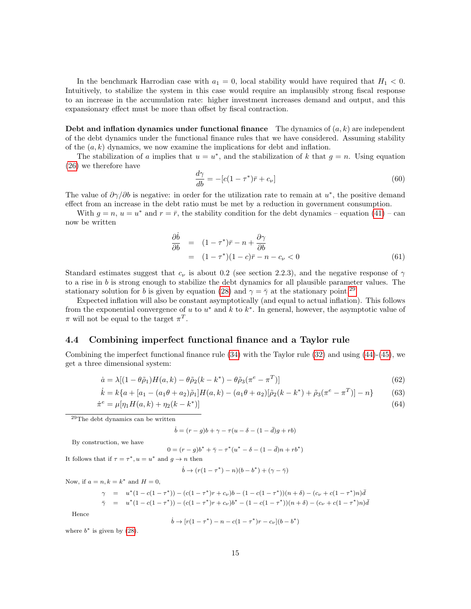In the benchmark Harrodian case with  $a_1 = 0$ , local stability would have required that  $H_1 < 0$ . Intuitively, to stabilize the system in this case would require an implausibly strong fiscal response to an increase in the accumulation rate: higher investment increases demand and output, and this expansionary effect must be more than offset by fiscal contraction.

Debt and inflation dynamics under functional finance The dynamics of  $(a, k)$  are independent of the debt dynamics under the functional finance rules that we have considered. Assuming stability of the  $(a, k)$  dynamics, we now examine the implications for debt and inflation.

The stabilization of a implies that  $u = u^*$ , and the stabilization of k that  $g = n$ . Using equation [\(26\)](#page-9-7) we therefore have

$$
\frac{d\gamma}{db} = -[c(1 - \tau^*)\bar{r} + c_\nu]
$$
\n(60)

The value of  $\partial \gamma / \partial b$  is negative: in order for the utilization rate to remain at  $u^*$ , the positive demand effect from an increase in the debt ratio must be met by a reduction in government consumption.

With  $g = n$ ,  $u = u^*$  and  $r = \bar{r}$ , the stability condition for the debt dynamics – equation [\(41\)](#page-13-0) – can now be written

$$
\frac{\partial \dot{\theta}}{\partial b} = (1 - \tau^*)\bar{r} - n + \frac{\partial \gamma}{\partial b} \n= (1 - \tau^*)(1 - c)\bar{r} - n - c_{\nu} < 0
$$
\n(61)

Standard estimates suggest that  $c_{\nu}$  is about 0.2 (see section 2.2.3), and the negative response of  $\gamma$ to a rise in  $b$  is strong enough to stabilize the debt dynamics for all plausible parameter values. The stationary solution for b is given by equation [\(28\)](#page-10-0) and  $\gamma = \bar{\gamma}$  at the stationary point.<sup>[29](#page-16-0)</sup>

Expected inflation will also be constant asymptotically (and equal to actual inflation). This follows from the exponential convergence of u to  $u^*$  and k to  $k^*$ . In general, however, the asymptotic value of  $\pi$  will not be equal to the target  $\pi^T$ .

#### 4.4 Combining imperfect functional finance and a Taylor rule

Combining the imperfect functional finance rule [\(34\)](#page-11-3) with the Taylor rule [\(32\)](#page-11-5) and using [\(44\)](#page-13-1)-[\(45\)](#page-13-6), we get a three dimensional system:

$$
\dot{a} = \lambda \left[ (1 - \theta \tilde{\rho}_1) H(a, k) - \theta \tilde{\rho}_2 (k - k^*) - \theta \tilde{\rho}_3 (\pi^e - \pi^T) \right]
$$
(62)

$$
\dot{k} = k\{a + [a_1 - (a_1\theta + a_2)\tilde{\rho}_1]H(a,k) - (a_1\theta + a_2)[\tilde{\rho}_2(k - k^*) + \tilde{\rho}_3(\pi^e - \pi^T)] - n\}
$$
(63)

$$
\dot{\pi}^e = \mu[\eta_1 H(a, k) + \eta_2 (k - k^*)] \tag{64}
$$

<span id="page-16-0"></span> $\rm ^{29}The$  debt dynamics can be written

 $\dot{b} = (r - q)b + \gamma - \tau(u - \delta - (1 - \bar{d})g + rb)$ 

By construction, we have

 $0 = (r - g)b^* + \bar{\gamma} - \tau^*(u^* - \delta - (1 - \bar{d})n + rb^*)$ 

It follows that if  $\tau = \tau^*$ ,  $u = u^*$  and  $g \to n$  then

$$
\dot{b} \rightarrow (r(1-\tau^*)-n)(b-b^*)+(\gamma-\bar{\gamma})
$$

Now, if  $a = n, k = k^*$  and  $H = 0$ ,

$$
\begin{array}{rcl}\n\gamma & = & u^*(1 - c(1 - \tau^*)) - (c(1 - \tau^*)r + c_\nu)b - (1 - c(1 - \tau^*)) (n + \delta) - (c_\nu + c(1 - \tau^*))n\bar{d} \\
\bar{\gamma} & = & u^*(1 - c(1 - \tau^*)) - (c(1 - \tau^*)r + c_\nu)b^* - (1 - c(1 - \tau^*)) (n + \delta) - (c_\nu + c(1 - \tau^*))n\bar{d}\n\end{array}
$$

Hence

$$
\dot{b} \to [r(1 - \tau^*) - n - c(1 - \tau^*)r - c_{\nu}](b - b^*)
$$

where  $b^*$  is given by  $(28)$ .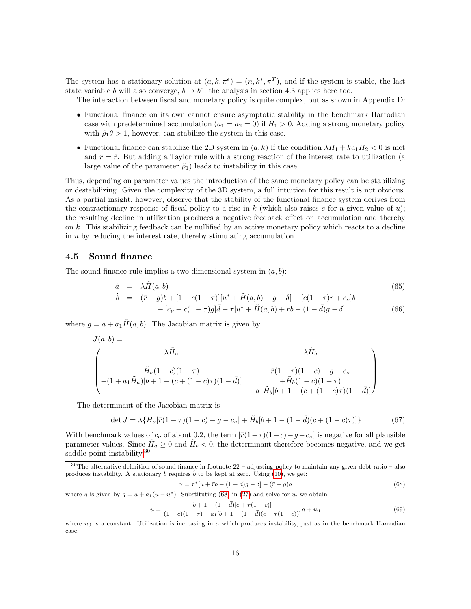The system has a stationary solution at  $(a, k, \pi^e) = (n, k^*, \pi^T)$ , and if the system is stable, the last state variable b will also converge,  $b \to b^*$ ; the analysis in section 4.3 applies here too.

The interaction between fiscal and monetary policy is quite complex, but as shown in Appendix D:

- Functional finance on its own cannot ensure asymptotic stability in the benchmark Harrodian case with predetermined accumulation ( $a_1 = a_2 = 0$ ) if  $H_1 > 0$ . Adding a strong monetary policy with  $\tilde{\rho}_1 \theta > 1$ , however, can stabilize the system in this case.
- Functional finance can stabilize the 2D system in  $(a, k)$  if the condition  $\lambda H_1 + k a_1 H_2 < 0$  is met and  $r = \bar{r}$ . But adding a Taylor rule with a strong reaction of the interest rate to utilization (a large value of the parameter  $\tilde{\rho}_1$ ) leads to instability in this case.

Thus, depending on parameter values the introduction of the same monetary policy can be stabilizing or destabilizing. Given the complexity of the 3D system, a full intuition for this result is not obvious. As a partial insight, however, observe that the stability of the functional finance system derives from the contractionary response of fiscal policy to a rise in k (which also raises e for a given value of u); the resulting decline in utilization produces a negative feedback effect on accumulation and thereby on  $k$ . This stabilizing feedback can be nullified by an active monetary policy which reacts to a decline in  $u$  by reducing the interest rate, thereby stimulating accumulation.

#### 4.5 Sound finance

The sound-finance rule implies a two dimensional system in  $(a, b)$ :

<span id="page-17-2"></span>
$$
\dot{a} = \lambda \tilde{H}(a, b) \tag{65}
$$
\n
$$
\dot{b} = (\bar{r} - g)b + [1 - c(1 - \tau)][u^* + \tilde{H}(a, b) - g - \delta] - [c(1 - \tau)r + c_{\nu}]b
$$
\n
$$
- [c_{\nu} + c(1 - \tau)g]\bar{d} - \tau[u^* + \tilde{H}(a, b) + \bar{r}b - (1 - \bar{d})g - \delta] \tag{66}
$$

where  $q = a + a_1 \tilde{H}(a, b)$ . The Jacobian matrix is given by

$$
J(a,b) = \lambda \tilde{H}_a
$$
  
\n
$$
\begin{pmatrix}\n\lambda \tilde{H}_a & \lambda \tilde{H}_b \\
\tilde{H}_a(1-c)(1-\tau) & \bar{r}(1-\tau)(1-c) - g - c_\nu \\
-(1+a_1\tilde{H}_a)[b+1-(c+(1-c)\tau)(1-\bar{d})] & +\tilde{H}_b(1-c)(1-\tau) \\
-a_1\tilde{H}_b[b+1-(c+(1-c)\tau)(1-\bar{d})]\n\end{pmatrix}
$$

The determinant of the Jacobian matrix is

$$
\det J = \lambda \{ H_a[\bar{r}(1-\tau)(1-c) - g - c_{\nu}] + \tilde{H}_b[b+1-(1-\bar{d})(c+(1-c)\tau)] \}
$$
(67)

With benchmark values of  $c_{\nu}$  of about 0.2, the term  $[\bar{r}(1-\tau)(1-c)-g-c_{\nu}]$  is negative for all plausible parameter values. Since  $\tilde{H}_a \geq 0$  and  $\tilde{H}_b < 0$ , the determinant therefore becomes negative, and we get saddle-point instability.<sup>[30](#page-17-0)</sup>

<span id="page-17-1"></span>
$$
\gamma = \tau^* [u + \bar{r}b - (1 - \bar{d})g - \delta] - (\bar{r} - g)b \tag{68}
$$

where g is given by  $g = a + a_1(u - u^*)$ . Substituting [\(68\)](#page-17-1) in [\(27\)](#page-9-5) and solve for u, we obtain

$$
u = \frac{b+1 - (1 - \bar{d})[c + \tau(1 - c)]}{(1 - c)(1 - \tau) - a_1[b + 1 - (1 - \bar{d})(c + \tau(1 - c))]}\n\begin{aligned}\na + u_0\n\end{aligned} \tag{69}
$$

<span id="page-17-0"></span> $30$ The alternative definition of sound finance in footnote  $22$  – adjusting policy to maintain any given debt ratio – also produces instability. A stationary b requires  $\dot{b}$  to be kept at zero. Using [\(10\)](#page-7-7), we get:

where  $u_0$  is a constant. Utilization is increasing in a which produces instability, just as in the benchmark Harrodian case.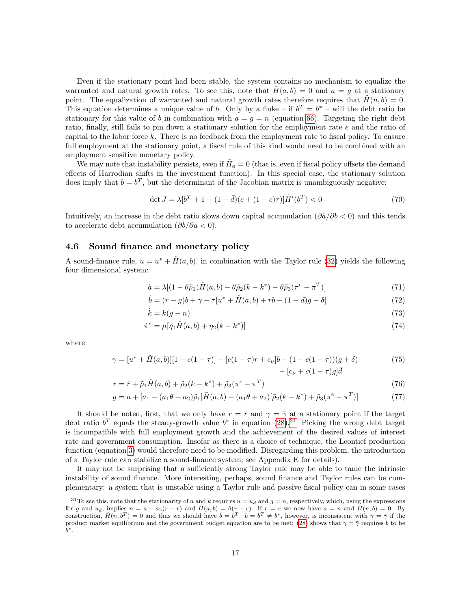Even if the stationary point had been stable, the system contains no mechanism to equalize the warranted and natural growth rates. To see this, note that  $H(a, b) = 0$  and  $a = g$  at a stationary point. The equalization of warranted and natural growth rates therefore requires that  $\hat{H}(n, b) = 0$ . This equation determines a unique value of b. Only by a fluke – if  $b^T = b^*$  – will the debt ratio be stationary for this value of b in combination with  $a = g = n$  (equation [66\)](#page-17-2). Targeting the right debt ratio, finally, still fails to pin down a stationary solution for the employment rate e and the ratio of capital to the labor force k. There is no feedback from the employment rate to fiscal policy. To ensure full employment at the stationary point, a fiscal rule of this kind would need to be combined with an employment sensitive monetary policy.

We may note that instability persists, even if  $H_a = 0$  (that is, even if fiscal policy offsets the demand effects of Harrodian shifts in the investment function). In this special case, the stationary solution does imply that  $b = b^T$ , but the determinant of the Jacobian matrix is unambiguously negative:

$$
\det J = \lambda [b^T + 1 - (1 - \bar{d})(c + (1 - c)\tau)]\tilde{H}'(b^T) < 0\tag{70}
$$

Intuitively, an increase in the debt ratio slows down capital accumulation  $(\partial \dot{a}/\partial b < 0)$  and this tends to accelerate debt accumulation  $(\partial \dot{b}/\partial a < 0)$ .

#### 4.6 Sound finance and monetary policy

A sound-finance rule,  $u = u^* + \tilde{H}(a, b)$ , in combination with the Taylor rule [\(32\)](#page-11-5) yields the following four dimensional system:

$$
\dot{a} = \lambda \left[ (1 - \theta \tilde{\rho}_1) \tilde{H}(a, b) - \theta \tilde{\rho}_2 (k - k^*) - \theta \tilde{\rho}_3 (\pi^e - \pi^T) \right] \tag{71}
$$

$$
\dot{b} = (r - g)b + \gamma - \tau[u^* + \tilde{H}(a, b) + rb - (1 - \bar{d})g - \delta]
$$
\n(72)

$$
\dot{k} = k(g - n) \tag{73}
$$

$$
\dot{\pi}^e = \mu[\eta_1 \tilde{H}(a, b) + \eta_2 (k - k^*)]
$$
\n(74)

where

$$
\gamma = [u^* + \tilde{H}(a, b)][1 - c(1 - \tau)] - [c(1 - \tau)r + c_\nu]b - (1 - c(1 - \tau))(g + \delta)
$$
  
-  $[c_\nu + c(1 - \tau)g]\bar{d}$  (75)

$$
r = \bar{r} + \tilde{\rho}_1 \tilde{H}(a, b) + \tilde{\rho}_2 (k - k^*) + \tilde{\rho}_3 (\pi^e - \pi^T)
$$
\n(76)

$$
g = a + [a_1 - (a_1\theta + a_2)\tilde{\rho}_1]\tilde{H}(a, b) - (a_1\theta + a_2)[\tilde{\rho}_2(k - k^*) + \tilde{\rho}_3(\pi^e - \pi^T)]
$$
\n(77)

It should be noted, first, that we only have  $r = \bar{r}$  and  $\gamma = \bar{\gamma}$  at a stationary point if the target debt ratio  $b^T$  equals the steady-growth value  $b^*$  in equation [\(28\)](#page-10-0).<sup>[31](#page-18-0)</sup> Picking the wrong debt target is incompatible with full employment growth and the achievement of the desired values of interest rate and government consumption. Insofar as there is a choice of technique, the Leontief production function (equation [3\)](#page-5-2) would therefore need to be modified. Disregarding this problem, the introduction of a Taylor rule can stabilize a sound-finance system; see Appendix E for details).

It may not be surprising that a sufficiently strong Taylor rule may be able to tame the intrinsic instability of sound finance. More interesting, perhaps, sound finance and Taylor rules can be complementary: a system that is unstable using a Taylor rule and passive fiscal policy can in some cases

<span id="page-18-0"></span><sup>&</sup>lt;sup>31</sup>To see this, note that the stationarity of a and k requires  $u = u_d$  and  $g = n$ , respectively, which, using the expressions for g and  $u_d$ , implies  $n = a - a_2(r - \bar{r})$  and  $\tilde{H}(a, b) = \theta(r - \bar{r})$ . If  $r = \bar{r}$  we now have  $a = n$  and  $\tilde{H}(n, b) = 0$ . By construction,  $\tilde{H}(n, b^T) = 0$  and thus we should have  $b = b^T$ .  $b = b^T \neq b^*$ , however, is inconsistent with  $\gamma = \overline{\gamma}$  if the product market equilibrium and the government budget equation are to be met: [\(28\)](#page-10-0) shows that  $\gamma = \bar{\gamma}$  requires b to be b ∗.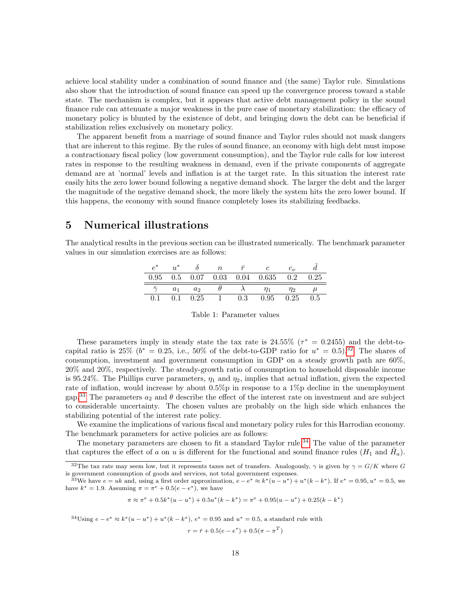achieve local stability under a combination of sound finance and (the same) Taylor rule. Simulations also show that the introduction of sound finance can speed up the convergence process toward a stable state. The mechanism is complex, but it appears that active debt management policy in the sound finance rule can attenuate a major weakness in the pure case of monetary stabilization: the efficacy of monetary policy is blunted by the existence of debt, and bringing down the debt can be beneficial if stabilization relies exclusively on monetary policy.

The apparent benefit from a marriage of sound finance and Taylor rules should not mask dangers that are inherent to this regime. By the rules of sound finance, an economy with high debt must impose a contractionary fiscal policy (low government consumption), and the Taylor rule calls for low interest rates in response to the resulting weakness in demand, even if the private components of aggregate demand are at 'normal' levels and inflation is at the target rate. In this situation the interest rate easily hits the zero lower bound following a negative demand shock. The larger the debt and the larger the magnitude of the negative demand shock, the more likely the system hits the zero lower bound. If this happens, the economy with sound finance completely loses its stabilizing feedbacks.

## 5 Numerical illustrations

The analytical results in the previous section can be illustrated numerically. The benchmark parameter values in our simulation exercises are as follows:

| $\rho^*$ | $u^*$          |                  | n               |     |                                                        | $c_{\nu}$ |     |
|----------|----------------|------------------|-----------------|-----|--------------------------------------------------------|-----------|-----|
|          |                |                  |                 |     | $0.95$ $0.5$ $0.07$ $0.03$ $0.04$ $0.635$ $0.2$ $0.25$ |           |     |
|          | a <sub>1</sub> | a <sub>2</sub>   |                 |     | $\eta_1$                                               | $\eta_2$  |     |
| O 1      |                | $0.1 \quad 0.25$ | $\sim$ 1 $\sim$ | 0.3 | 0.95                                                   | 0.25      | 0.5 |

Table 1: Parameter values

These parameters imply in steady state the tax rate is  $24.55\%$  ( $\tau^* = 0.2455$ ) and the debt-tocapital ratio is 25% ( $b^* = 0.25$ , i.e., 50% of the debt-to-GDP ratio for  $u^* = 0.5$ ).<sup>[32](#page-19-0)</sup> The shares of consumption, investment and government consumption in GDP on a steady growth path are 60%, 20% and 20%, respectively. The steady-growth ratio of consumption to household disposable income is 95.24%. The Phillips curve parameters,  $\eta_1$  and  $\eta_2$ , implies that actual inflation, given the expected rate of inflation, would increase by about 0.5%p in response to a 1%p decline in the unemployment gap.<sup>[33](#page-19-1)</sup> The parameters  $a_2$  and  $\theta$  describe the effect of the interest rate on investment and are subject to considerable uncertainty. The chosen values are probably on the high side which enhances the stabilizing potential of the interest rate policy.

We examine the implications of various fiscal and monetary policy rules for this Harrodian economy. The benchmark parameters for active policies are as follows:

The monetary parameters are chosen to fit a standard Taylor rule.<sup>[34](#page-19-2)</sup> The value of the parameter that captures the effect of a on u is different for the functional and sound finance rules  $(H_1 \text{ and } \tilde{H}_a)$ .

$$
\pi \approx \pi^e + 0.5k^*(u - u^*) + 0.5u^*(k - k^*) = \pi^e + 0.95(u - u^*) + 0.25(k - k^*)
$$

<span id="page-19-2"></span><sup>34</sup>Using  $e - e^* \approx k^*(u - u^*) + u^*(k - k^*)$ ,  $e^* = 0.95$  and  $u^* = 0.5$ , a standard rule with

$$
r = \bar{r} + 0.5(e - e^*) + 0.5(\pi - \pi^T)
$$

<span id="page-19-0"></span><sup>&</sup>lt;sup>32</sup>The tax rate may seem low, but it represents taxes net of transfers. Analogously,  $\gamma$  is given by  $\gamma = G/K$  where G is government consumption of goods and services, not total government expenses.

<span id="page-19-1"></span><sup>&</sup>lt;sup>33</sup>We have  $e = uk$  and, using a first order approximation,  $e - e^* \approx k^*(u - u^*) + u^*(k - k^*)$ . If  $e^* = 0.95, u^* = 0.5$ , we have  $k^* = 1.9$ . Assuming  $\pi = \pi^e + 0.5(e - e^*)$ , we have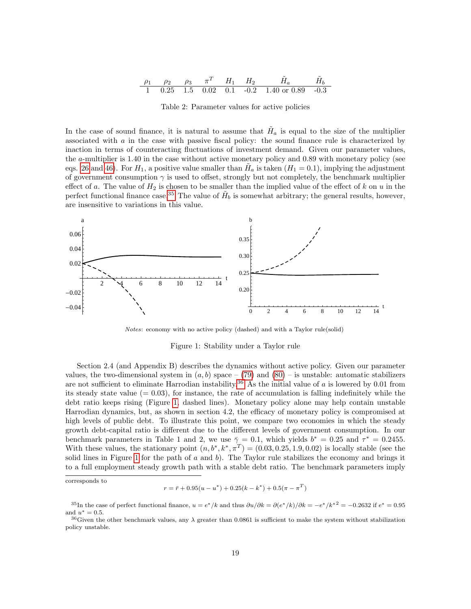$$
\begin{array}{cccccc}\n\rho_1 & \rho_2 & \rho_3 & \pi^T & H_1 & H_2 & \tilde{H}_a & \tilde{H}_b \\
\hline\n1 & 0.25 & 1.5 & 0.02 & 0.1 & -0.2 & 1.40 \text{ or } 0.89 & -0.3\n\end{array}
$$

Table 2: Parameter values for active policies

In the case of sound finance, it is natural to assume that  $H_a$  is equal to the size of the multiplier associated with a in the case with passive fiscal policy: the sound finance rule is characterized by inaction in terms of counteracting fluctuations of investment demand. Given our parameter values, the a-multiplier is 1.40 in the case without active monetary policy and 0.89 with monetary policy (see eqs. [26](#page-9-7) and [46\)](#page-13-5). For  $H_1$ , a positive value smaller than  $H_a$  is taken  $(H_1 = 0.1)$ , implying the adjustment of government consumption  $\gamma$  is used to offset, strongly but not completely, the benchmark multiplier effect of a. The value of  $H_2$  is chosen to be smaller than the implied value of the effect of k on u in the perfect functional finance case.<sup>[35](#page-20-0)</sup> The value of  $H_b$  is somewhat arbitrary; the general results, however, are insensitive to variations in this value.



Notes: economy with no active policy (dashed) and with a Taylor rule(solid)

#### <span id="page-20-2"></span>Figure 1: Stability under a Taylor rule

Section 2.4 (and Appendix B) describes the dynamics without active policy. Given our parameter values, the two-dimensional system in  $(a, b)$  space – [\(79\)](#page-26-0) and [\(80\)](#page-26-1) – is unstable: automatic stabilizers are not sufficient to eliminate Harrodian instability.<sup>[36](#page-20-1)</sup> As the initial value of a is lowered by 0.01 from its steady state value  $(= 0.03)$ , for instance, the rate of accumulation is falling indefinitely while the debt ratio keeps rising (Figure [1,](#page-20-2) dashed lines). Monetary policy alone may help contain unstable Harrodian dynamics, but, as shown in section 4.2, the efficacy of monetary policy is compromised at high levels of public debt. To illustrate this point, we compare two economies in which the steady growth debt-capital ratio is different due to the different levels of government consumption. In our benchmark parameters in Table 1 and 2, we use  $\bar{\gamma} = 0.1$ , which yields  $b^* = 0.25$  and  $\tau^* = 0.2455$ . With these values, the stationary point  $(n, b^*, k^*, \pi^T) = (0.03, 0.25, 1.9, 0.02)$  is locally stable (see the solid lines in Figure [1](#page-20-2) for the path of  $a$  and  $b$ ). The Taylor rule stabilizes the economy and brings it to a full employment steady growth path with a stable debt ratio. The benchmark parameters imply

$$
r = \bar{r} + 0.95(u - u^*) + 0.25(k - k^*) + 0.5(\pi - \pi^T)
$$

corresponds to

<span id="page-20-0"></span><sup>&</sup>lt;sup>35</sup>In the case of perfect functional finance,  $u = e^*/k$  and thus  $\frac{\partial u}{\partial k} = \frac{\partial (e^*/k)}{\partial k} = -e^*/k^{*2} = -0.2632$  if  $e^* = 0.95$ and  $u^* = 0.5$ .

<span id="page-20-1"></span><sup>&</sup>lt;sup>36</sup>Given the other benchmark values, any  $\lambda$  greater than 0.0861 is sufficient to make the system without stabilization policy unstable.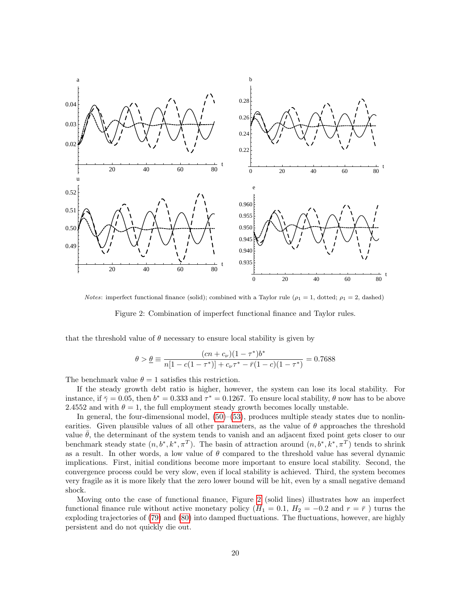

*Notes*: imperfect functional finance (solid); combined with a Taylor rule ( $\rho_1 = 1$ , dotted;  $\rho_1 = 2$ , dashed)

<span id="page-21-0"></span>Figure 2: Combination of imperfect functional finance and Taylor rules.

that the threshold value of  $\theta$  necessary to ensure local stability is given by

$$
\theta > \underline{\theta} \equiv \frac{(cn + c_{\nu})(1 - \tau^*)b^*}{n[1 - c(1 - \tau^*)] + c_{\nu}\tau^* - \bar{r}(1 - c)(1 - \tau^*)} = 0.7688
$$

The benchmark value  $\theta = 1$  satisfies this restriction.

If the steady growth debt ratio is higher, however, the system can lose its local stability. For instance, if  $\bar{\gamma} = 0.05$ , then  $b^* = 0.333$  and  $\tau^* = 0.1267$ . To ensure local stability,  $\theta$  now has to be above 2.4552 and with  $\theta = 1$ , the full employment steady growth becomes locally unstable.

In general, the four-dimensional model,  $(50)$ – $(53)$ , produces multiple steady states due to nonlinearities. Given plausible values of all other parameters, as the value of  $\theta$  approaches the threshold value  $\bar{\theta}$ , the determinant of the system tends to vanish and an adjacent fixed point gets closer to our benchmark steady state  $(n, b^*, k^*, \pi^T)$ . The basin of attraction around  $(n, b^*, k^*, \pi^T)$  tends to shrink as a result. In other words, a low value of  $\theta$  compared to the threshold value has several dynamic implications. First, initial conditions become more important to ensure local stability. Second, the convergence process could be very slow, even if local stability is achieved. Third, the system becomes very fragile as it is more likely that the zero lower bound will be hit, even by a small negative demand shock.

Moving onto the case of functional finance, Figure [2](#page-21-0) (solid lines) illustrates how an imperfect functional finance rule without active monetary policy ( $H_1 = 0.1$ ,  $H_2 = -0.2$  and  $r = \overline{r}$ ) turns the exploding trajectories of [\(79\)](#page-26-0) and [\(80\)](#page-26-1) into damped fluctuations. The fluctuations, however, are highly persistent and do not quickly die out.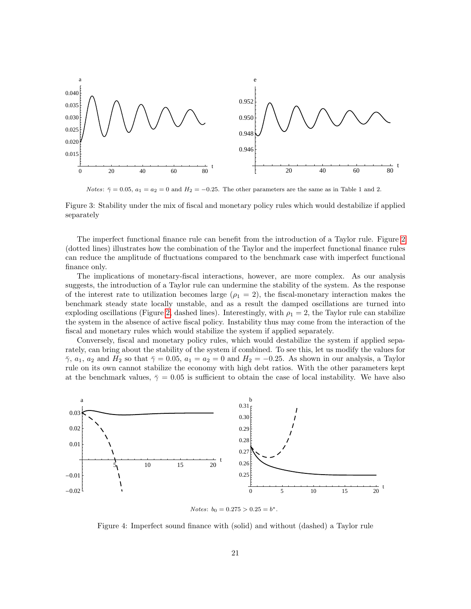

<span id="page-22-0"></span>*Notes*:  $\bar{\gamma} = 0.05$ ,  $a_1 = a_2 = 0$  and  $H_2 = -0.25$ . The other parameters are the same as in Table 1 and 2.

Figure 3: Stability under the mix of fiscal and monetary policy rules which would destabilize if applied separately

The imperfect functional finance rule can benefit from the introduction of a Taylor rule. Figure [2](#page-21-0) (dotted lines) illustrates how the combination of the Taylor and the imperfect functional finance rules can reduce the amplitude of fluctuations compared to the benchmark case with imperfect functional finance only.

The implications of monetary-fiscal interactions, however, are more complex. As our analysis suggests, the introduction of a Taylor rule can undermine the stability of the system. As the response of the interest rate to utilization becomes large  $(\rho_1 = 2)$ , the fiscal-monetary interaction makes the benchmark steady state locally unstable, and as a result the damped oscillations are turned into exploding oscillations (Figure [2,](#page-21-0) dashed lines). Interestingly, with  $\rho_1 = 2$ , the Taylor rule can stabilize the system in the absence of active fiscal policy. Instability thus may come from the interaction of the fiscal and monetary rules which would stabilize the system if applied separately.

Conversely, fiscal and monetary policy rules, which would destabilize the system if applied separately, can bring about the stability of the system if combined. To see this, let us modify the values for  $\bar{\gamma}$ ,  $a_1$ ,  $a_2$  and  $H_2$  so that  $\bar{\gamma} = 0.05$ ,  $a_1 = a_2 = 0$  and  $H_2 = -0.25$ . As shown in our analysis, a Taylor rule on its own cannot stabilize the economy with high debt ratios. With the other parameters kept at the benchmark values,  $\bar{\gamma} = 0.05$  is sufficient to obtain the case of local instability. We have also



Notes:  $b_0 = 0.275 > 0.25 = b^*$ .

<span id="page-22-1"></span>Figure 4: Imperfect sound finance with (solid) and without (dashed) a Taylor rule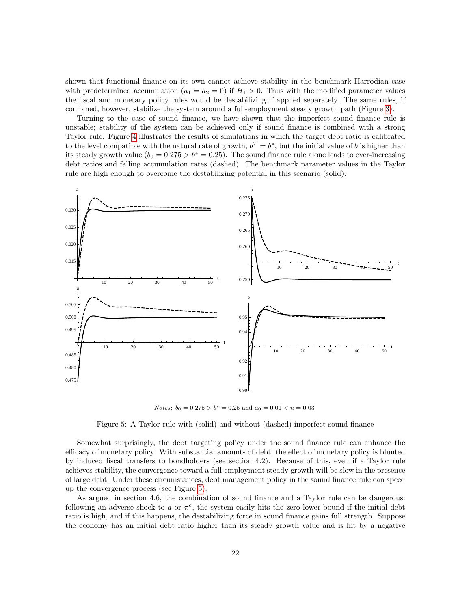shown that functional finance on its own cannot achieve stability in the benchmark Harrodian case with predetermined accumulation  $(a_1 = a_2 = 0)$  if  $H_1 > 0$ . Thus with the modified parameter values the fiscal and monetary policy rules would be destabilizing if applied separately. The same rules, if combined, however, stabilize the system around a full-employment steady growth path (Figure [3\)](#page-22-0).

Turning to the case of sound finance, we have shown that the imperfect sound finance rule is unstable; stability of the system can be achieved only if sound finance is combined with a strong Taylor rule. Figure [4](#page-22-1) illustrates the results of simulations in which the target debt ratio is calibrated to the level compatible with the natural rate of growth,  $b^T = b^*$ , but the initial value of b is higher than its steady growth value ( $b_0 = 0.275 > b^* = 0.25$ ). The sound finance rule alone leads to ever-increasing debt ratios and falling accumulation rates (dashed). The benchmark parameter values in the Taylor rule are high enough to overcome the destabilizing potential in this scenario (solid).



<span id="page-23-0"></span>*Notes*:  $b_0 = 0.275 > b^* = 0.25$  and  $a_0 = 0.01 < n = 0.03$ 

Figure 5: A Taylor rule with (solid) and without (dashed) imperfect sound finance

Somewhat surprisingly, the debt targeting policy under the sound finance rule can enhance the efficacy of monetary policy. With substantial amounts of debt, the effect of monetary policy is blunted by induced fiscal transfers to bondholders (see section 4.2). Because of this, even if a Taylor rule achieves stability, the convergence toward a full-employment steady growth will be slow in the presence of large debt. Under these circumstances, debt management policy in the sound finance rule can speed up the convergence process (see Figure [5\)](#page-23-0).

As argued in section 4.6, the combination of sound finance and a Taylor rule can be dangerous: following an adverse shock to a or  $\pi^e$ , the system easily hits the zero lower bound if the initial debt ratio is high, and if this happens, the destabilizing force in sound finance gains full strength. Suppose the economy has an initial debt ratio higher than its steady growth value and is hit by a negative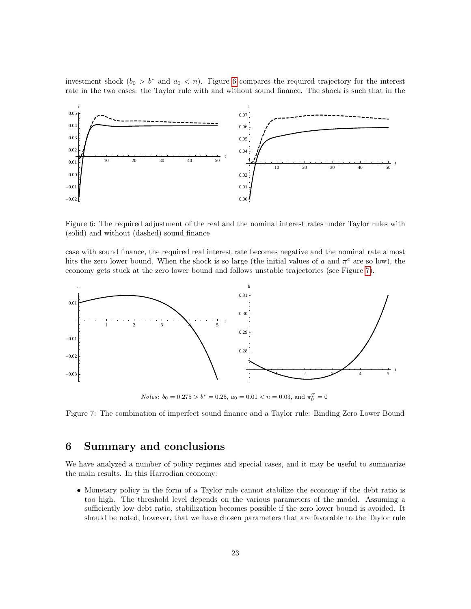investment shock  $(b_0 > b^*$  and  $a_0 < n)$ . Figure [6](#page-24-0) compares the required trajectory for the interest rate in the two cases: the Taylor rule with and without sound finance. The shock is such that in the



<span id="page-24-0"></span>Figure 6: The required adjustment of the real and the nominal interest rates under Taylor rules with (solid) and without (dashed) sound finance

case with sound finance, the required real interest rate becomes negative and the nominal rate almost hits the zero lower bound. When the shock is so large (the initial values of a and  $\pi^e$  are so low), the economy gets stuck at the zero lower bound and follows unstable trajectories (see Figure [7\)](#page-24-1).



*Notes*:  $b_0 = 0.275 > b^* = 0.25$ ,  $a_0 = 0.01 < n = 0.03$ , and  $\pi_0^T = 0$ 

<span id="page-24-1"></span>Figure 7: The combination of imperfect sound finance and a Taylor rule: Binding Zero Lower Bound

## 6 Summary and conclusions

We have analyzed a number of policy regimes and special cases, and it may be useful to summarize the main results. In this Harrodian economy:

• Monetary policy in the form of a Taylor rule cannot stabilize the economy if the debt ratio is too high. The threshold level depends on the various parameters of the model. Assuming a sufficiently low debt ratio, stabilization becomes possible if the zero lower bound is avoided. It should be noted, however, that we have chosen parameters that are favorable to the Taylor rule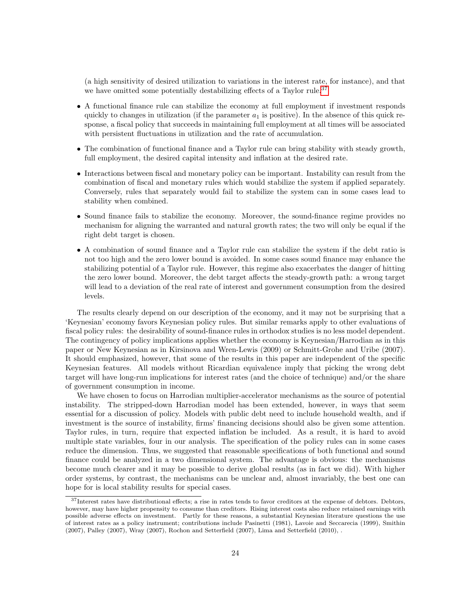(a high sensitivity of desired utilization to variations in the interest rate, for instance), and that we have omitted some potentially destabilizing effects of a Taylor rule.<sup>[37](#page-25-0)</sup>

- A functional finance rule can stabilize the economy at full employment if investment responds quickly to changes in utilization (if the parameter  $a_1$  is positive). In the absence of this quick response, a fiscal policy that succeeds in maintaining full employment at all times will be associated with persistent fluctuations in utilization and the rate of accumulation.
- The combination of functional finance and a Taylor rule can bring stability with steady growth, full employment, the desired capital intensity and inflation at the desired rate.
- Interactions between fiscal and monetary policy can be important. Instability can result from the combination of fiscal and monetary rules which would stabilize the system if applied separately. Conversely, rules that separately would fail to stabilize the system can in some cases lead to stability when combined.
- Sound finance fails to stabilize the economy. Moreover, the sound-finance regime provides no mechanism for aligning the warranted and natural growth rates; the two will only be equal if the right debt target is chosen.
- A combination of sound finance and a Taylor rule can stabilize the system if the debt ratio is not too high and the zero lower bound is avoided. In some cases sound finance may enhance the stabilizing potential of a Taylor rule. However, this regime also exacerbates the danger of hitting the zero lower bound. Moreover, the debt target affects the steady-growth path: a wrong target will lead to a deviation of the real rate of interest and government consumption from the desired levels.

The results clearly depend on our description of the economy, and it may not be surprising that a 'Keynesian' economy favors Keynesian policy rules. But similar remarks apply to other evaluations of fiscal policy rules: the desirability of sound-finance rules in orthodox studies is no less model dependent. The contingency of policy implications applies whether the economy is Keynesian/Harrodian as in this paper or New Keynesian as in Kirsinova and Wren-Lewis (2009) or Schmitt-Grohe and Uribe (2007). It should emphasized, however, that some of the results in this paper are independent of the specific Keynesian features. All models without Ricardian equivalence imply that picking the wrong debt target will have long-run implications for interest rates (and the choice of technique) and/or the share of government consumption in income.

We have chosen to focus on Harrodian multiplier-accelerator mechanisms as the source of potential instability. The stripped-down Harrodian model has been extended, however, in ways that seem essential for a discussion of policy. Models with public debt need to include household wealth, and if investment is the source of instability, firms' financing decisions should also be given some attention. Taylor rules, in turn, require that expected inflation be included. As a result, it is hard to avoid multiple state variables, four in our analysis. The specification of the policy rules can in some cases reduce the dimension. Thus, we suggested that reasonable specifications of both functional and sound finance could be analyzed in a two dimensional system. The advantage is obvious: the mechanisms become much clearer and it may be possible to derive global results (as in fact we did). With higher order systems, by contrast, the mechanisms can be unclear and, almost invariably, the best one can hope for is local stability results for special cases.

<span id="page-25-0"></span><sup>&</sup>lt;sup>37</sup>Interest rates have distributional effects; a rise in rates tends to favor creditors at the expense of debtors. Debtors, however, may have higher propensity to consume than creditors. Rising interest costs also reduce retained earnings with possible adverse effects on investment. Partly for these reasons, a substantial Keynesian literature questions the use of interest rates as a policy instrument; contributions include Pasinetti (1981), Lavoie and Seccarecia (1999), Smithin (2007), Palley (2007), Wray (2007), Rochon and Setterfield (2007), Lima and Setterfield (2010), .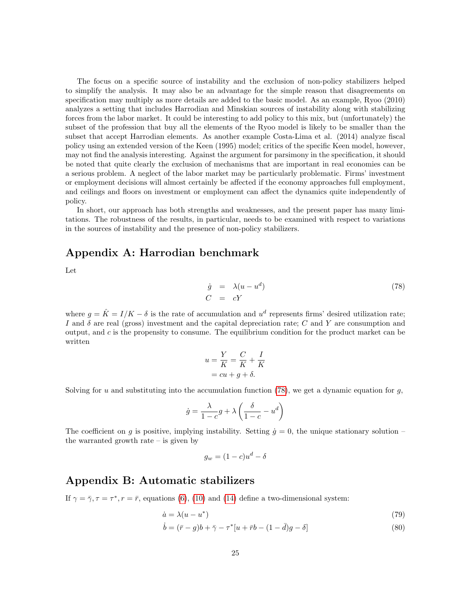The focus on a specific source of instability and the exclusion of non-policy stabilizers helped to simplify the analysis. It may also be an advantage for the simple reason that disagreements on specification may multiply as more details are added to the basic model. As an example, Ryoo (2010) analyzes a setting that includes Harrodian and Minskian sources of instability along with stabilizing forces from the labor market. It could be interesting to add policy to this mix, but (unfortunately) the subset of the profession that buy all the elements of the Ryoo model is likely to be smaller than the subset that accept Harrodian elements. As another example Costa-Lima et al. (2014) analyze fiscal policy using an extended version of the Keen (1995) model; critics of the specific Keen model, however, may not find the analysis interesting. Against the argument for parsimony in the specification, it should be noted that quite clearly the exclusion of mechanisms that are important in real economies can be a serious problem. A neglect of the labor market may be particularly problematic. Firms' investment or employment decisions will almost certainly be affected if the economy approaches full employment, and ceilings and floors on investment or employment can affect the dynamics quite independently of policy.

In short, our approach has both strengths and weaknesses, and the present paper has many limitations. The robustness of the results, in particular, needs to be examined with respect to variations in the sources of instability and the presence of non-policy stabilizers.

## Appendix A: Harrodian benchmark

Let

<span id="page-26-2"></span>
$$
\dot{g} = \lambda (u - u^d) \tag{78}
$$
\n
$$
C = cY
$$

where  $g = \hat{K} = I/K - \delta$  is the rate of accumulation and  $u^d$  represents firms' desired utilization rate; I and  $\delta$  are real (gross) investment and the capital depreciation rate; C and Y are consumption and output, and c is the propensity to consume. The equilibrium condition for the product market can be written

$$
u = \frac{Y}{K} = \frac{C}{K} + \frac{I}{K}
$$

$$
= cu + g + \delta.
$$

Solving for u and substituting into the accumulation function [\(78\)](#page-26-2), we get a dynamic equation for q,

$$
\dot{g} = \frac{\lambda}{1 - c}g + \lambda \left(\frac{\delta}{1 - c} - u^d\right)
$$

The coefficient on g is positive, implying instability. Setting  $\dot{g} = 0$ , the unique stationary solution – the warranted growth rate  $-$  is given by

<span id="page-26-1"></span><span id="page-26-0"></span>
$$
g_w = (1 - c)u^d - \delta
$$

## Appendix B: Automatic stabilizers

If  $\gamma = \bar{\gamma}, \tau = \tau^*, r = \bar{r}$ , equations [\(6\)](#page-6-1), [\(10\)](#page-7-7) and [\(14\)](#page-7-6) define a two-dimensional system:

$$
\dot{a} = \lambda (u - u^*)\tag{79}
$$

$$
\dot{b} = (\bar{r} - g)b + \bar{\gamma} - \tau^* [u + \bar{r}b - (1 - \bar{d})g - \delta]
$$
\n(80)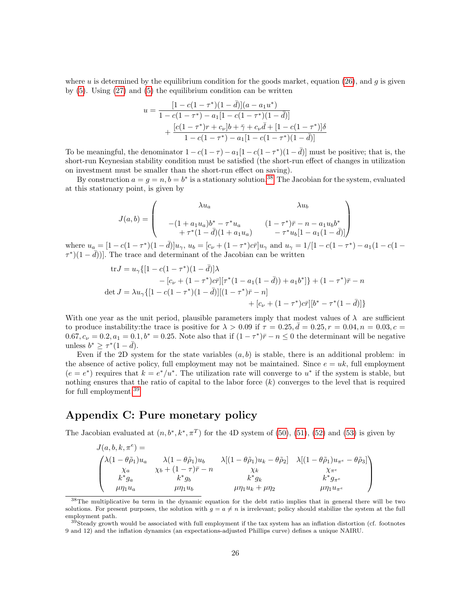where u is determined by the equilibrium condition for the goods market, equation [\(26\)](#page-9-7), and g is given by [\(5\)](#page-6-1). Using [\(27\)](#page-9-5) and [\(5\)](#page-6-1) the equilibrium condition can be written

$$
u = \frac{[1 - c(1 - \tau^*)(1 - \bar{d})](a - a_1 u^*)}{1 - c(1 - \tau^*) - a_1[1 - c(1 - \tau^*)(1 - \bar{d})]} + \frac{[c(1 - \tau^*)r + c_\nu]b + \bar{\gamma} + c_\nu \bar{d} + [1 - c(1 - \tau^*)]\delta}{1 - c(1 - \tau^*) - a_1[1 - c(1 - \tau^*)(1 - \bar{d})]}
$$

To be meaningful, the denominator  $1 - c(1 - \tau) - a_1[1 - c(1 - \tau^*)(1 - \bar{d})]$  must be positive; that is, the short-run Keynesian stability condition must be satisfied (the short-run effect of changes in utilization on investment must be smaller than the short-run effect on saving).

By construction  $a = g = n$ ,  $b = b^*$  is a stationary solution.<sup>[38](#page-27-0)</sup> The Jacobian for the system, evaluated at this stationary point, is given by

$$
J(a,b) = \begin{pmatrix} \lambda u_a & \lambda u_b \\ - (1 + a_1 u_a) b^* - \tau^* u_a & (1 - \tau^*) \bar{r} - n - a_1 u_b b^* \\ + \tau^* (1 - \bar{d}) (1 + a_1 u_a) & - \tau^* u_b [1 - a_1 (1 - \bar{d})] \end{pmatrix}
$$

where  $u_a = [1 - c(1 - \tau^*)(1 - \bar{d})]u_{\gamma}$ ,  $u_b = [c_{\nu} + (1 - \tau^*)c\bar{r}]u_{\gamma}$  and  $u_{\gamma} = 1/[1 - c(1 - \tau^*) - a_1(1 - c(1 - \tau^*))]u_{\gamma}$  $(\tau^*)(1 - \overline{d})$ ]. The trace and determinant of the Jacobian can be written

tr 
$$
J = u_{\gamma} \{ [1 - c(1 - \tau^*)(1 - \bar{d})] \lambda
$$
  
\t\t\t $- [c_{\nu} + (1 - \tau^*)c\bar{r}] [\tau^*(1 - a_1(1 - \bar{d})) + a_1b^*] \} + (1 - \tau^*)\bar{r} - n$   
\ndet  $J = \lambda u_{\gamma} \{ [1 - c(1 - \tau^*)(1 - \bar{d})] [(1 - \tau^*)\bar{r} - n] + [c_{\nu} + (1 - \tau^*)c\bar{r}] [b^* - \tau^*(1 - \bar{d})] \}$ 

With one year as the unit period, plausible parameters imply that modest values of  $\lambda$  are sufficient to produce instability: the trace is positive for  $\lambda > 0.09$  if  $\tau = 0.25, \bar{d} = 0.25, r = 0.04, n = 0.03, c = 0.04$  $0.67, c<sub>\nu</sub> = 0.2, a<sub>1</sub> = 0.1, b<sup>*</sup> = 0.25$ . Note also that if  $(1 - \tau^*)\bar{r} - n \leq 0$  the determinant will be negative unless  $b^* \geq \tau^*(1 - \bar{d}).$ 

Even if the 2D system for the state variables  $(a, b)$  is stable, there is an additional problem: in the absence of active policy, full employment may not be maintained. Since  $e = uk$ , full employment  $(e = e^*)$  requires that  $k = e^*/u^*$ . The utilization rate will converge to  $u^*$  if the system is stable, but nothing ensures that the ratio of capital to the labor force  $(k)$  converges to the level that is required for full employment.[39](#page-27-1)

## Appendix C: Pure monetary policy

The Jacobian evaluated at  $(n, b^*, k^*, \pi^T)$  for the 4D system of [\(50\)](#page-14-5), [\(51\)](#page-14-7), [\(52\)](#page-14-8) and [\(53\)](#page-14-6) is given by

$$
J(a, b, k, \pi^e) =
$$
\n
$$
\begin{pmatrix}\n\lambda(1 - \theta \tilde{\rho}_1)u_a & \lambda(1 - \theta \tilde{\rho}_1)u_b & \lambda[(1 - \theta \tilde{\rho}_1)u_k - \theta \tilde{\rho}_2] & \lambda[(1 - \theta \tilde{\rho}_1)u_{\pi^e} - \theta \tilde{\rho}_3] \\
\lambda a & \chi_b + (1 - \tau)\bar{r} - n & \chi_k & \chi_{\pi^e} \\
k^* g_a & k^* g_b & k^* g_k & k^* g_{\pi^e} \\
\mu \eta_1 u_a & \mu \eta_1 u_b & \mu \eta_1 u_k + \mu \eta_2 & \mu \eta_1 u_{\pi^e}\n\end{pmatrix}
$$

<span id="page-27-0"></span> $38$ The multiplicative ba term in the dynamic equation for the debt ratio implies that in general there will be two solutions. For present purposes, the solution with  $g = a \neq n$  is irrelevant; policy should stabilize the system at the full employment path.

<span id="page-27-1"></span> $39$ Steady growth would be associated with full employment if the tax system has an inflation distortion (cf. footnotes 9 and 12) and the inflation dynamics (an expectations-adjusted Phillips curve) defines a unique NAIRU.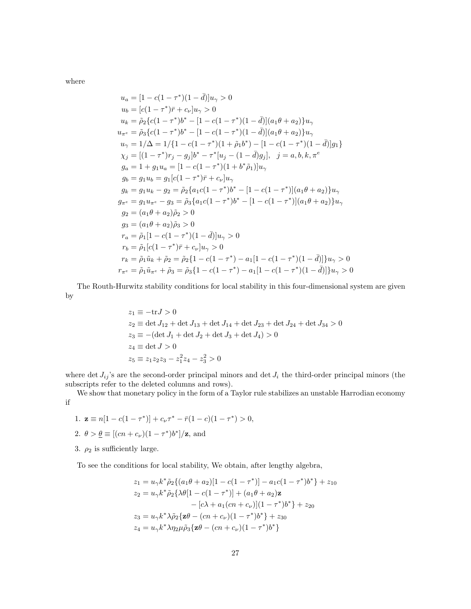where

$$
u_{a} = [1 - c(1 - \tau^{*})(1 - \bar{d})]u_{\gamma} > 0
$$
  
\n
$$
u_{b} = [c(1 - \tau^{*})\bar{r} + c_{\nu}]u_{\gamma} > 0
$$
  
\n
$$
u_{k} = \tilde{\rho}_{2}\{c(1 - \tau^{*})b^{*} - [1 - c(1 - \tau^{*})(1 - \bar{d})](a_{1}\theta + a_{2})\}u_{\gamma}
$$
  
\n
$$
u_{\pi^{e}} = \tilde{\rho}_{3}\{c(1 - \tau^{*})b^{*} - [1 - c(1 - \tau^{*})(1 - \bar{d})](a_{1}\theta + a_{2})\}u_{\gamma}
$$
  
\n
$$
u_{\gamma} = 1/\Delta = 1/\{1 - c(1 - \tau^{*})(1 + \tilde{\rho}_{1}b^{*}) - [1 - c(1 - \tau^{*})(1 - \bar{d})]g_{1}\}
$$
  
\n
$$
\chi_{j} = [(1 - \tau^{*})r_{j} - g_{j}]b^{*} - \tau^{*}[u_{j} - (1 - \bar{d})g_{j}], \quad j = a, b, k, \pi^{e}
$$
  
\n
$$
g_{a} = 1 + g_{1}u_{a} = [1 - c(1 - \tau^{*})(1 + b^{*}\tilde{\rho}_{1})]u_{\gamma}
$$
  
\n
$$
g_{b} = g_{1}u_{b} = g_{1}[c(1 - \tau^{*})\bar{r} + c_{\nu}]u_{\gamma}
$$
  
\n
$$
g_{k} = g_{1}u_{k} - g_{2} = \tilde{\rho}_{2}\{a_{1}c(1 - \tau^{*})b^{*} - [1 - c(1 - \tau^{*})](a_{1}\theta + a_{2})\}u_{\gamma}
$$
  
\n
$$
g_{\pi^{e}} = g_{1}u_{\pi^{e}} - g_{3} = \tilde{\rho}_{3}\{a_{1}c(1 - \tau^{*})b^{*} - [1 - c(1 - \tau^{*})](a_{1}\theta + a_{2})\}u_{\gamma}
$$
  
\n
$$
g_{2} = (a_{1}\theta + a_{2})\tilde{\rho}_{2} > 0
$$
  
\n
$$
g_{3} = (a_{1}\theta + a_{2})\tilde{\rho}_{3} > 0
$$

The Routh-Hurwitz stability conditions for local stability in this four-dimensional system are given by

$$
z_1 \equiv -\text{tr} J > 0
$$
  
\n
$$
z_2 \equiv \det J_{12} + \det J_{13} + \det J_{14} + \det J_{23} + \det J_{24} + \det J_{34} > 0
$$
  
\n
$$
z_3 \equiv -(\det J_1 + \det J_2 + \det J_3 + \det J_4) > 0
$$
  
\n
$$
z_4 \equiv \det J > 0
$$
  
\n
$$
z_5 \equiv z_1 z_2 z_3 - z_1^2 z_4 - z_3^2 > 0
$$

where det  $J_{ij}$ 's are the second-order principal minors and det  $J_i$  the third-order principal minors (the subscripts refer to the deleted columns and rows).

We show that monetary policy in the form of a Taylor rule stabilizes an unstable Harrodian economy if

- 1.  $\mathbf{z} \equiv n[1 c(1 \tau^*)] + c_{\nu}\tau^* \bar{r}(1 c)(1 \tau^*) > 0,$
- 2.  $\theta > \underline{\theta} \equiv [(cn + c_{\nu})(1 \tau^*)b^*]/\mathbf{z}$ , and
- 3.  $\rho_2$  is sufficiently large.

To see the conditions for local stability, We obtain, after lengthy algebra,

$$
z_1 = u_{\gamma} k^* \tilde{\rho}_2 \{ (a_1 \theta + a_2) [1 - c(1 - \tau^*)] - a_1 c(1 - \tau^*) b^* \} + z_{10}
$$
  
\n
$$
z_2 = u_{\gamma} k^* \tilde{\rho}_2 \{ \lambda \theta [1 - c(1 - \tau^*)] + (a_1 \theta + a_2) \mathbf{z}
$$
  
\n
$$
- [c\lambda + a_1 (cn + c_{\nu})] (1 - \tau^*) b^* \} + z_{20}
$$
  
\n
$$
z_3 = u_{\gamma} k^* \lambda \tilde{\rho}_2 \{ \mathbf{z} \theta - (cn + c_{\nu}) (1 - \tau^*) b^* \} + z_{30}
$$
  
\n
$$
z_4 = u_{\gamma} k^* \lambda \eta_2 \mu \tilde{\rho}_3 \{ \mathbf{z} \theta - (cn + c_{\nu}) (1 - \tau^*) b^* \}
$$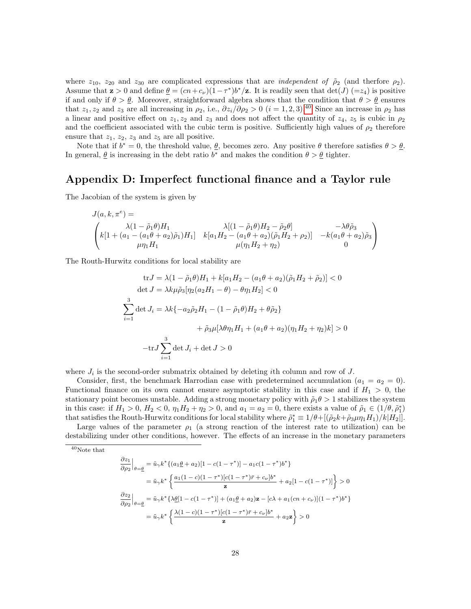where  $z_{10}$ ,  $z_{20}$  and  $z_{30}$  are complicated expressions that are *independent of*  $\tilde{\rho}_2$  (and therfore  $\rho_2$ ). Assume that  $\mathbf{z} > 0$  and define  $\underline{\theta} = (cn + c_{\nu})(1 - \tau^*)b^*/\mathbf{z}$ . It is readily seen that  $\det(J) (=z_4)$  is positive if and only if  $\theta > \underline{\theta}$ . Moreover, straightforward algebra shows that the condition that  $\theta > \underline{\theta}$  ensures that  $z_1, z_2$  and  $z_3$  are all increasing in  $\rho_2$ , i.e.,  $\partial z_i/\partial \rho_2 > 0$   $(i = 1, 2, 3)$ .<sup>[40](#page-29-0)</sup> Since an increase in  $\rho_2$  has a linear and positive effect on  $z_1, z_2$  and  $z_3$  and does not affect the quantity of  $z_4$ ,  $z_5$  is cubic in  $\rho_2$ and the coefficient associated with the cubic term is positive. Sufficiently high values of  $\rho_2$  therefore ensure that  $z_1$ ,  $z_2$ ,  $z_3$  and  $z_5$  are all positive.

Note that if  $b^* = 0$ , the threshold value,  $\underline{\theta}$ , becomes zero. Any positive  $\theta$  therefore satisfies  $\theta > \underline{\theta}$ . In general,  $\theta$  is increasing in the debt ratio  $b^*$  and makes the condition  $\theta > \theta$  tighter.

## Appendix D: Imperfect functional finance and a Taylor rule

The Jacobian of the system is given by

$$
J(a, k, \pi^{e}) = \lambda[1 - \tilde{\rho}_{1}\theta)H_{1} \lambda[(1 - \tilde{\rho}_{1}\theta)H_{2} - \tilde{\rho}_{2}\theta] - \lambda\theta\tilde{\rho}_{3} + k[1 + (a_{1} - (a_{1}\theta + a_{2})\tilde{\rho}_{1})H_{1}] k[a_{1}H_{2} - (a_{1}\theta + a_{2})(\tilde{\rho}_{1}H_{2} + \rho_{2})] - k(a_{1}\theta + a_{2})\tilde{\rho}_{3} + \mu(\eta_{1}H_{2} + \eta_{2}) \qquad 0
$$

The Routh-Hurwitz conditions for local stability are

tr 
$$
J = \lambda (1 - \tilde{\rho}_1 \theta) H_1 + k[a_1 H_2 - (a_1 \theta + a_2)(\tilde{\rho}_1 H_2 + \tilde{\rho}_2)] < 0
$$
  
\ndet  $J = \lambda k \mu \tilde{\rho}_3 [\eta_2 (a_2 H_1 - \theta) - \theta \eta_1 H_2] < 0$   
\n
$$
\sum_{i=1}^3 \det J_i = \lambda k \{-a_2 \tilde{\rho}_2 H_1 - (1 - \tilde{\rho}_1 \theta) H_2 + \theta \tilde{\rho}_2 \} + \tilde{\rho}_3 \mu [\lambda \theta \eta_1 H_1 + (a_1 \theta + a_2)(\eta_1 H_2 + \eta_2) k] > 0
$$
\n
$$
-tr J \sum_{i=1}^3 \det J_i + \det J > 0
$$

where  $J_i$  is the second-order submatrix obtained by deleting *i*th column and row of  $J$ .

Consider, first, the benchmark Harrodian case with predetermined accumulation  $(a_1 = a_2 = 0)$ . Functional finance on its own cannot ensure asymptotic stability in this case and if  $H_1 > 0$ , the stationary point becomes unstable. Adding a strong monetary policy with  $\tilde{\rho}_1 \theta > 1$  stabilizes the system in this case: if  $H_1 > 0$ ,  $H_2 < 0$ ,  $\eta_1 H_2 + \eta_2 > 0$ , and  $a_1 = a_2 = 0$ , there exists a value of  $\tilde{\rho}_1 \in (1/\theta, \tilde{\rho}_1^*)$ that satisfies the Routh-Hurwitz conditions for local stability where  $\tilde{\rho}_1^* \equiv 1/\theta + [(\tilde{\rho}_2 k + \tilde{\rho}_3 \mu \eta_1 H_1)/k|H_2|]$ .

Large values of the parameter  $\rho_1$  (a strong reaction of the interest rate to utilization) can be destabilizing under other conditions, however. The effects of an increase in the monetary parameters

$$
\frac{\partial z_1}{\partial \rho_2}\Big|_{\theta=\underline{\theta}} = \tilde{u}_{\gamma} k^* \{ (a_1 \underline{\theta} + a_2) [1 - c(1 - \tau^*)] - a_1 c(1 - \tau^*) b^* \}
$$
\n
$$
= \tilde{u}_{\gamma} k^* \left\{ \frac{a_1 (1 - c)(1 - \tau^*) [c(1 - \tau^*) \bar{r} + c_{\nu}] b^*}{\mathbf{z}} + a_2 [1 - c(1 - \tau^*)] \right\} > 0
$$
\n
$$
\frac{\partial z_2}{\partial \rho_2}\Big|_{\theta=\underline{\theta}} = \tilde{u}_{\gamma} k^* \{ \lambda \underline{\theta} [1 - c(1 - \tau^*)] + (a_1 \underline{\theta} + a_2) \mathbf{z} - [c\lambda + a_1 (cn + c_{\nu})](1 - \tau^*) b^* \}
$$
\n
$$
= \tilde{u}_{\gamma} k^* \left\{ \frac{\lambda (1 - c)(1 - \tau^*) [c(1 - \tau^*) \bar{r} + c_{\nu}] b^*}{\mathbf{z}} + a_2 \mathbf{z} \right\} > 0
$$

<span id="page-29-0"></span><sup>40</sup>Note that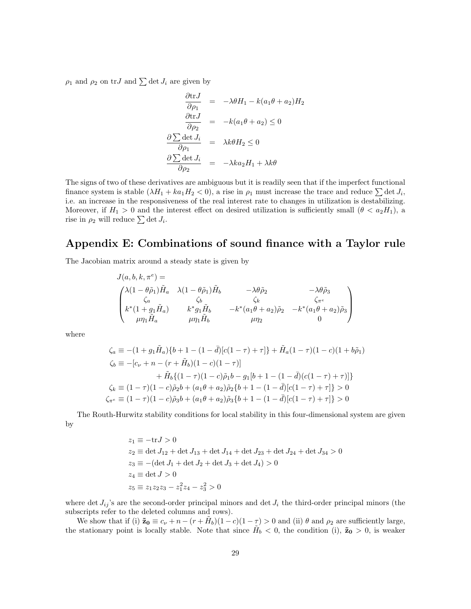$\rho_1$  and  $\rho_2$  on tr*J* and  $\sum$  det  $J_i$  are given by

$$
\frac{\partial \text{tr} J}{\partial \rho_1} = -\lambda \theta H_1 - k(a_1 \theta + a_2) H_2
$$
\n
$$
\frac{\partial \text{tr} J}{\partial \rho_2} = -k(a_1 \theta + a_2) \le 0
$$
\n
$$
\frac{\partial \sum \det J_i}{\partial \rho_1} = \lambda k \theta H_2 \le 0
$$
\n
$$
\frac{\partial \sum \det J_i}{\partial \rho_2} = -\lambda k a_2 H_1 + \lambda k \theta
$$

The signs of two of these derivatives are ambiguous but it is readily seen that if the imperfect functional finance system is stable  $(\lambda H_1 + k a_1 H_2 < 0)$ , a rise in  $\rho_1$  must increase the trace and reduce  $\sum \det J_i$ , i.e. an increase in the responsiveness of the real interest rate to changes in utilization is destabilizing. Moreover, if  $H_1 > 0$  and the interest effect on desired utilization is sufficiently small  $(\theta < a_2H_1)$ , a rise in  $\rho_2$  will reduce  $\sum \det J_i$ .

## Appendix E: Combinations of sound finance with a Taylor rule

The Jacobian matrix around a steady state is given by

$$
J(a, b, k, \pi^e) =
$$
\n
$$
\begin{pmatrix}\n\lambda(1 - \theta \tilde{\rho}_1) \tilde{H}_a & \lambda(1 - \theta \tilde{\rho}_1) \tilde{H}_b & -\lambda \theta \tilde{\rho}_2 & -\lambda \theta \tilde{\rho}_3 \\
\zeta_a & \zeta_b & \zeta_k & \zeta_{\pi^e} \\
k^*(1 + g_1 \tilde{H}_a) & k^* g_1 \tilde{H}_b & -k^* (a_1 \theta + a_2) \tilde{\rho}_2 & -k^* (a_1 \theta + a_2) \tilde{\rho}_3 \\
\mu \eta_1 \tilde{H}_a & \mu \eta_1 \tilde{H}_b & \mu \eta_2 & 0\n\end{pmatrix}
$$

where

$$
\zeta_a \equiv -(1+g_1\tilde{H}_a)\{b+1-(1-\bar{d})[c(1-\tau)+\tau]\} + \tilde{H}_a(1-\tau)(1-c)(1+b\tilde{\rho}_1) \n\zeta_b \equiv -[c_\nu + n - (r + \tilde{H}_b)(1-c)(1-\tau)] \n+ \tilde{H}_b\{(1-\tau)(1-c)\tilde{\rho}_1b - g_1[b+1-(1-\bar{d})(c(1-\tau)+\tau)]\} \n\zeta_k \equiv (1-\tau)(1-c)\tilde{\rho}_2b + (a_1\theta + a_2)\tilde{\rho}_2\{b+1-(1-\bar{d})[c(1-\tau)+\tau]\} > 0 \n\zeta_{\pi^e} \equiv (1-\tau)(1-c)\tilde{\rho}_3b + (a_1\theta + a_2)\tilde{\rho}_3\{b+1-(1-\bar{d})[c(1-\tau)+\tau]\} > 0
$$

The Routh-Hurwitz stability conditions for local stability in this four-dimensional system are given by

$$
z_1 \equiv -\text{tr} J > 0
$$
  
\n
$$
z_2 \equiv \det J_{12} + \det J_{13} + \det J_{14} + \det J_{23} + \det J_{24} + \det J_{34} > 0
$$
  
\n
$$
z_3 \equiv -(\det J_1 + \det J_2 + \det J_3 + \det J_4) > 0
$$
  
\n
$$
z_4 \equiv \det J > 0
$$
  
\n
$$
z_5 \equiv z_1 z_2 z_3 - z_1^2 z_4 - z_3^2 > 0
$$

where det  $J_{ij}$ 's are the second-order principal minors and det  $J_i$  the third-order principal minors (the subscripts refer to the deleted columns and rows).

We show that if (i)  $\tilde{\mathbf{z}}_0 \equiv c_\nu + n - (r + \tilde{H}_b)(1 - c)(1 - \tau) > 0$  and (ii)  $\theta$  and  $\rho_2$  are sufficiently large, the stationary point is locally stable. Note that since  $H_b < 0$ , the condition (i),  $\tilde{z}_0 > 0$ , is weaker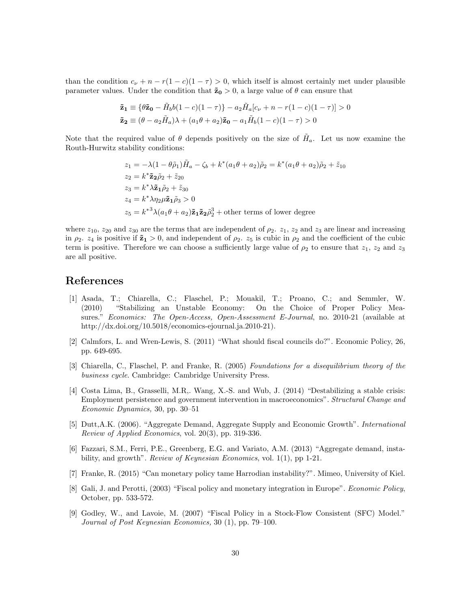than the condition  $c_v + n - r(1 - c)(1 - \tau) > 0$ , which itself is almost certainly met under plausible parameter values. Under the condition that  $\tilde{z}_0 > 0$ , a large value of  $\theta$  can ensure that

$$
\begin{aligned} &\tilde{\mathbf{z}}_1 \equiv \left\{\theta \tilde{\mathbf{z}}_0 - \tilde{H}_b b (1-c)(1-\tau)\right\} - a_2 \tilde{H}_a [c_\nu + n - r(1-c)(1-\tau)] > 0 \\ &\tilde{\mathbf{z}}_2 \equiv (\theta - a_2 \tilde{H}_a)\lambda + (a_1 \theta + a_2) \tilde{\mathbf{z}}_0 - a_1 \tilde{H}_b (1-c)(1-\tau) > 0 \end{aligned}
$$

Note that the required value of  $\theta$  depends positively on the size of  $H_a$ . Let us now examine the Routh-Hurwitz stability conditions:

$$
z_1 = -\lambda (1 - \theta \tilde{\rho}_1) \tilde{H}_a - \zeta_b + k^* (a_1 \theta + a_2) \tilde{\rho}_2 = k^* (a_1 \theta + a_2) \tilde{\rho}_2 + \tilde{z}_{10}
$$
  
\n
$$
z_2 = k^* \tilde{\mathbf{z}}_2 \tilde{\rho}_2 + \tilde{z}_{20}
$$
  
\n
$$
z_3 = k^* \lambda \tilde{\mathbf{z}}_1 \tilde{\rho}_2 + \tilde{z}_{30}
$$
  
\n
$$
z_4 = k^* \lambda \eta_2 \mu \tilde{\mathbf{z}}_1 \tilde{\rho}_3 > 0
$$
  
\n
$$
z_5 = k^{*3} \lambda (a_1 \theta + a_2) \tilde{\mathbf{z}}_1 \tilde{\mathbf{z}}_2 \tilde{\rho}_2^3 + \text{other terms of lower degree}
$$

where  $z_{10}$ ,  $z_{20}$  and  $z_{30}$  are the terms that are independent of  $\rho_2$ .  $z_1$ ,  $z_2$  and  $z_3$  are linear and increasing in  $\rho_2$ .  $z_4$  is positive if  $\tilde{z}_1 > 0$ , and independent of  $\rho_2$ .  $z_5$  is cubic in  $\rho_2$  and the coefficient of the cubic term is positive. Therefore we can choose a sufficiently large value of  $\rho_2$  to ensure that  $z_1$ ,  $z_2$  and  $z_3$ are all positive.

## References

- [1] Asada, T.; Chiarella, C.; Flaschel, P.; Mouakil, T.; Proano, C.; and Semmler, W. (2010) "Stabilizing an Unstable Economy: On the Choice of Proper Policy Measures." Economics: The Open-Access, Open-Assessment E-Journal, no. 2010-21 (available at http://dx.doi.org/10.5018/economics-ejournal.ja.2010-21).
- [2] Calmfors, L. and Wren-Lewis, S. (2011) "What should fiscal councils do?". Economic Policy, 26, pp. 649-695.
- [3] Chiarella, C., Flaschel, P. and Franke, R. (2005) Foundations for a disequilibrium theory of the business cycle. Cambridge: Cambridge University Press.
- [4] Costa Lima, B., Grasselli, M.R,. Wang, X.-S. and Wub, J. (2014) "Destabilizing a stable crisis: Employment persistence and government intervention in macroeconomics". Structural Change and Economic Dynamics, 30, pp. 30–51
- [5] Dutt,A.K. (2006). "Aggregate Demand, Aggregate Supply and Economic Growth". International Review of Applied Economics, vol. 20(3), pp. 319-336.
- [6] Fazzari, S.M., Ferri, P.E., Greenberg, E.G. and Variato, A.M. (2013) "Aggregate demand, instability, and growth". *Review of Keynesian Economics*, vol. 1(1), pp 1-21.
- [7] Franke, R. (2015) "Can monetary policy tame Harrodian instability?". Mimeo, University of Kiel.
- [8] Gali, J. and Perotti, (2003) "Fiscal policy and monetary integration in Europe". Economic Policy, October, pp. 533-572.
- [9] Godley, W., and Lavoie, M. (2007) "Fiscal Policy in a Stock-Flow Consistent (SFC) Model." Journal of Post Keynesian Economics, 30 (1), pp. 79–100.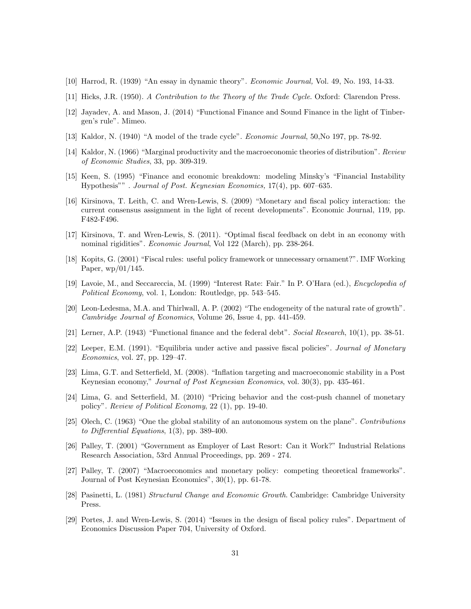- [10] Harrod, R. (1939) "An essay in dynamic theory". Economic Journal, Vol. 49, No. 193, 14-33.
- [11] Hicks, J.R. (1950). A Contribution to the Theory of the Trade Cycle. Oxford: Clarendon Press.
- [12] Jayadev, A. and Mason, J. (2014) "Functional Finance and Sound Finance in the light of Tinbergen's rule". Mimeo.
- [13] Kaldor, N. (1940) "A model of the trade cycle". Economic Journal, 50,No 197, pp. 78-92.
- [14] Kaldor, N. (1966) "Marginal productivity and the macroeconomic theories of distribution". Review of Economic Studies, 33, pp. 309-319.
- [15] Keen, S. (1995) "Finance and economic breakdown: modeling Minsky's "Financial Instability Hypothesis"" . Journal of Post. Keynesian Economics, 17(4), pp. 607–635.
- [16] Kirsinova, T. Leith, C. and Wren-Lewis, S. (2009) "Monetary and fiscal policy interaction: the current consensus assignment in the light of recent developments". Economic Journal, 119, pp. F482-F496.
- [17] Kirsinova, T. and Wren-Lewis, S. (2011). "Optimal fiscal feedback on debt in an economy with nominal rigidities". Economic Journal, Vol 122 (March), pp. 238-264.
- [18] Kopits, G. (2001) "Fiscal rules: useful policy framework or unnecessary ornament?". IMF Working Paper, wp/01/145.
- [19] Lavoie, M., and Seccareccia, M. (1999) "Interest Rate: Fair." In P. O'Hara (ed.), Encyclopedia of Political Economy, vol. 1, London: Routledge, pp. 543–545.
- [20] Leon-Ledesma, M.A. and Thirlwall, A. P. (2002) "The endogeneity of the natural rate of growth". Cambridge Journal of Economics, Volume 26, Issue 4, pp. 441-459.
- [21] Lerner, A.P. (1943) "Functional finance and the federal debt". Social Research, 10(1), pp. 38-51.
- [22] Leeper, E.M. (1991). "Equilibria under active and passive fiscal policies". Journal of Monetary Economics, vol. 27, pp. 129–47.
- [23] Lima, G.T. and Setterfield, M. (2008). "Inflation targeting and macroeconomic stability in a Post Keynesian economy," Journal of Post Keynesian Economics, vol. 30(3), pp. 435-461.
- [24] Lima, G. and Setterfield, M. (2010) "Pricing behavior and the cost-push channel of monetary policy". Review of Political Economy, 22 (1), pp. 19-40.
- [25] Olech, C. (1963) "One the global stability of an autonomous system on the plane". Contributions to Differential Equations, 1(3), pp. 389-400.
- [26] Palley, T. (2001) "Government as Employer of Last Resort: Can it Work?" Industrial Relations Research Association, 53rd Annual Proceedings, pp. 269 - 274.
- [27] Palley, T. (2007) "Macroeconomics and monetary policy: competing theoretical frameworks". Journal of Post Keynesian Economics", 30(1), pp. 61-78.
- [28] Pasinetti, L. (1981) Structural Change and Economic Growth. Cambridge: Cambridge University Press.
- [29] Portes, J. and Wren-Lewis, S. (2014) "Issues in the design of fiscal policy rules". Department of Economics Discussion Paper 704, University of Oxford.